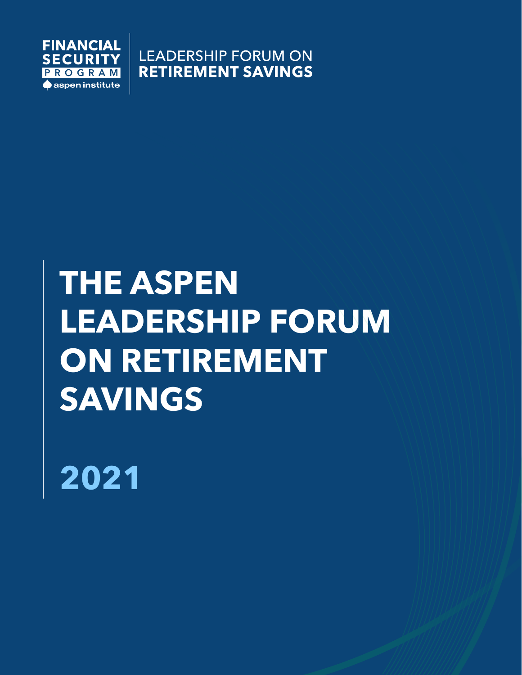

**LEADERSHIP FORUM ON RETIREMENT SAVINGS** 

# **THE ASPEN LEADERSHIP FORUM ON RETIREMENT SAVINGS**

**2021**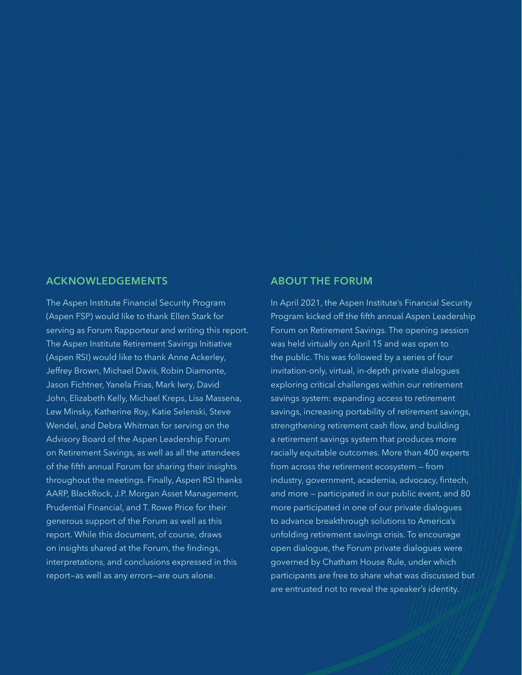### **ACKNOWLEDGEMENTS ABOUT THE FORUM**

The Aspen Institute Financial Security Program (Aspen FSP) would like to thank Ellen Stark for serving as Forum Rapporteur and writing this report. The Aspen Institute Retirement Savings Initiative (Aspen RSI) would like to thank Anne Ackerley, Jeffrey Brown, Michael Davis, Robin Diamonte, Jason Fichtner, Yanela Frias, Mark Iwry, David John, Elizabeth Kelly, Michael Kreps, Lisa Massena, Lew Minsky, Katherine Roy, Katie Selenski, Steve Wendel, and Debra Whitman for serving on the Advisory Board of the Aspen Leadership Forum on Retirement Savings, as well as all the attendees of the fifth annual Forum for sharing their insights throughout the meetings. Finally, Aspen RSI thanks AARP, BlackRock, J.P. Morgan Asset Management, Prudential Financial, and T. Rowe Price for their generous support of the Forum as well as this report. While this document, of course, draws on insights shared at the Forum, the findings, interpretations, and conclusions expressed in this report—as well as any errors—are ours alone.

In April 2021, the Aspen Institute's Financial Security Program kicked off the fifth annual Aspen Leadership Forum on Retirement Savings. The opening session was held virtually on April 15 and was open to the public. This was followed by a series of four invitation-only, virtual, in-depth private dialogues exploring critical challenges within our retirement savings system: expanding access to retirement savings, increasing portability of retirement savings, strengthening retirement cash flow, and building a retirement savings system that produces more racially equitable outcomes. More than 400 experts from across the retirement ecosystem — from industry, government, academia, advocacy, fintech, and more — participated in our public event, and 80 more participated in one of our private dialogues to advance breakthrough solutions to America's unfolding retirement savings crisis. To encourage open dialogue, the Forum private dialogues were governed by Chatham House Rule, under which participants are free to share what was discussed but are entrusted not to reveal the speaker's identity.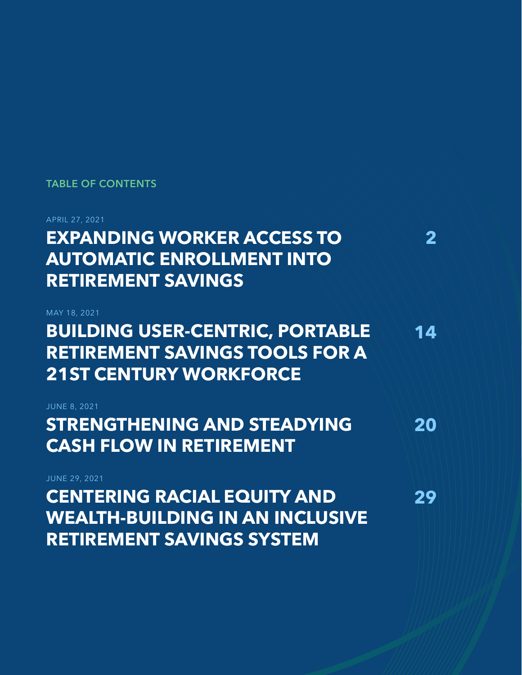### **TABLE OF CONTENTS**

APRIL 27, 2021

**EXPANDING WORKER ACCESS TO AUTOMATIC ENROLLMENT INTO RETIREMENT SAVINGS**

MAY 18, 2021 **BUILDING USER-CENTRIC, PORTABLE RETIREMENT SAVINGS TOOLS FOR A 21ST CENTURY WORKFORCE**

**2**

**14**

**20**

JUNE 8, 2021 **STRENGTHENING AND STEADYING CASH FLOW IN RETIREMENT**

| <b>JUNE 29, 2021</b>                   |    |
|----------------------------------------|----|
| <b>CENTERING RACIAL EQUITY AND</b>     | 29 |
| <b>WEALTH-BUILDING IN AN INCLUSIVE</b> |    |
| <b>RETIREMENT SAVINGS SYSTEM</b>       |    |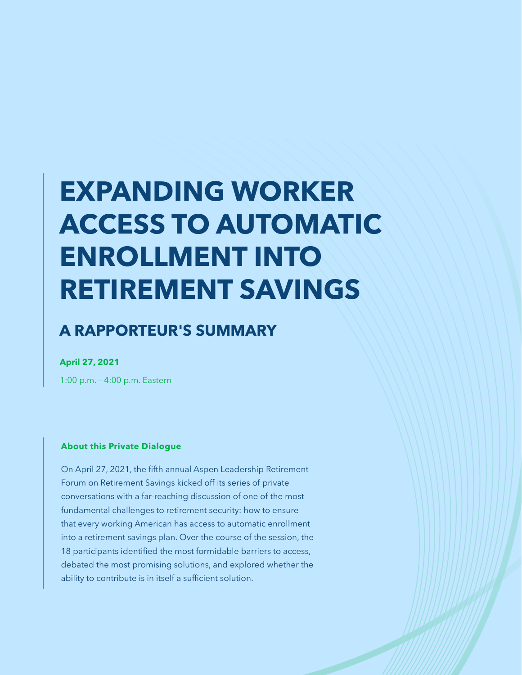# **EXPANDING WORKER ACCESS TO AUTOMATIC ENROLLMENT INTO RETIREMENT SAVINGS**

## **A RAPPORTEUR'S SUMMARY**

**April 27, 2021**

1:00 p.m. – 4:00 p.m. Eastern

#### **About this Private Dialogue**

On April 27, 2021, the fifth annual Aspen Leadership Retirement Forum on Retirement Savings kicked off its series of private conversations with a far-reaching discussion of one of the most fundamental challenges to retirement security: how to ensure that every working American has access to automatic enrollment into a retirement savings plan. Over the course of the session, the 18 participants identified the most formidable barriers to access, debated the most promising solutions, and explored whether the ability to contribute is in itself a sufficient solution.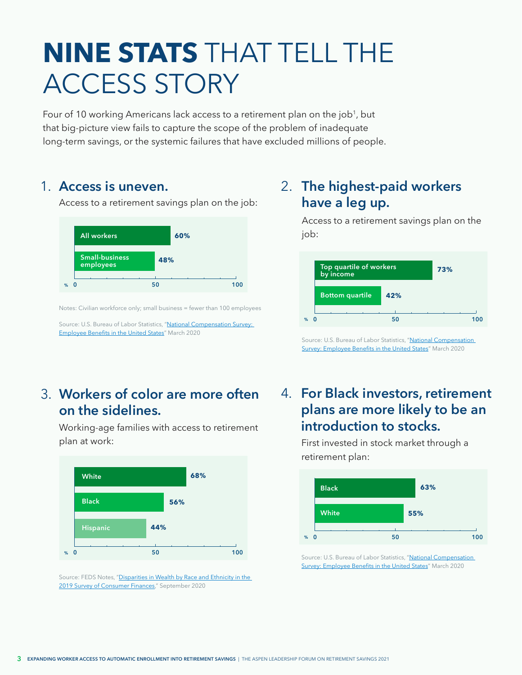## <span id="page-4-0"></span>**NINE STATS** THAT TELL THE ACCESS STORY

Four of 10 working Americans lack access to a retirement plan on the job<sup>1</sup>, but that big-picture view fails to capture the scope of the problem of inadequate long-term savings, or the systemic failures that have excluded millions of people.

### 1. Access is uneven.

Access to a retirement savings plan on the job:



Notes: Civilian workforce only; small business = fewer than 100 employees

Source: U.S. Bureau of Labor Statistics, "[National Compensation Survey:](https://www.bls.gov/ncs/ebs/benefits/2020/employee-benefits-in-the-united-states-march-2020.pdf)  [Employee Benefits in the United States"](https://www.bls.gov/ncs/ebs/benefits/2020/employee-benefits-in-the-united-states-march-2020.pdf) March 2020

## **Workers of color are more often**  3. **on the sidelines.**

Working-age families with access to retirement plan at work:



Source: FEDS Notes, "Disparities in Wealth by Race and Ethnicity in the [2019 Survey of Consumer Finances,](https://www.federalreserve.gov/econres/notes/feds-notes/disparities-in-wealth-by-race-and-ethnicity-in-the-2019-survey-of-consumer-finances-20200928.htm)" September 2020

## **Access is uneven. The highest-paid workers have a leg up.**

Access to a retirement savings plan on the job:



Source: U.S. Bureau of Labor Statistics, "National Compensation [Survey: Employee Benefits in the United States"](https://www.bls.gov/ncs/ebs/benefits/2020/employee-benefits-in-the-united-states-march-2020.pdf) March 2020

## **For Black investors, retirement**  4. **plans are more likely to be an introduction to stocks.**

First invested in stock market through a retirement plan:



Source: U.S. Bureau of Labor Statistics, "National Compensation [Survey: Employee Benefits in the United States](https://www.bls.gov/ncs/ebs/benefits/2020/employee-benefits-in-the-united-states-march-2020.pdf)" March 2020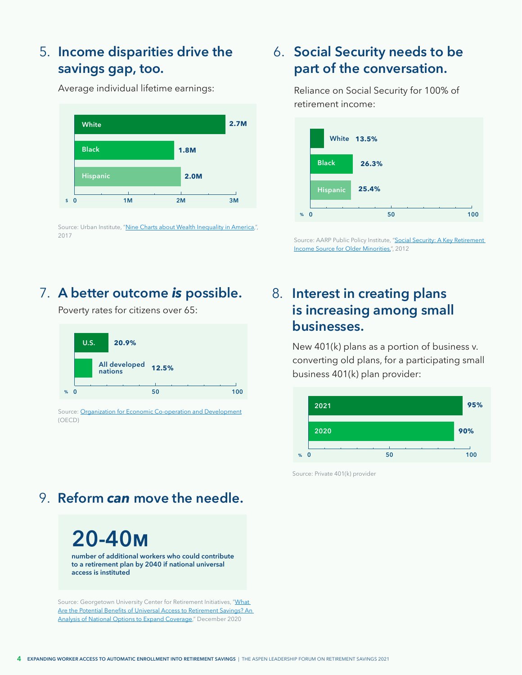## **Income disparities drive the**  5. **savings gap, too.**

Average individual lifetime earnings:

**\$ 0 2M 3M White Black Hispanic 2.7M 1.8M 2.0M 1M**

Source: Urban Institute, ["Nine Charts about Wealth Inequality in America](https://apps.urban.org/features/wealth-inequality-charts/),", 2017

## **A better outcome is possible. 8.** Interest in creating plans

Poverty rates for citizens over 65:



Source: [Organization for Economic Co-operation and Development](https://read.oecd-ilibrary.org/social-issues-migration-health/pensions-at-a-glance-2017_pension_glance-2017-en#page137) (OECD)

## **Social Security needs to be**  6. **part of the conversation.**

Reliance on Social Security for 100% of retirement income:



Source: AARP Public Policy Institute, "Social Security: A Key Retirement [Income Source for Older Minorities,"](https://www.aarp.org/content/dam/aarp/research/public_policy_institute/econ_sec/2012/ss-key-retirement-income-source-older-minorities-AARP-ppi-econ-sec.pdf), 2012

## **is increasing among small businesses.**

New 401(k) plans as a portion of business v. converting old plans, for a participating small business 401(k) plan provider:



Source: Private 401(k) provider

## 9. **Reform** *can* **move the needle.**

**20-40m number of additional workers who could contribute to a retirement plan by 2040 if national universal access is instituted**

Source: Georgetown University Center for Retirement Initiatives, "What [Are the Potential Benefits of Universal Access to Retirement Savings? An](https://cri.georgetown.edu/wp-content/uploads/2020/12/CRI-ESI-Report-Benefits_of_Universal_Access_FINAL.pdf)  [Analysis of National Options to Expand Coverage](https://cri.georgetown.edu/wp-content/uploads/2020/12/CRI-ESI-Report-Benefits_of_Universal_Access_FINAL.pdf)," December 2020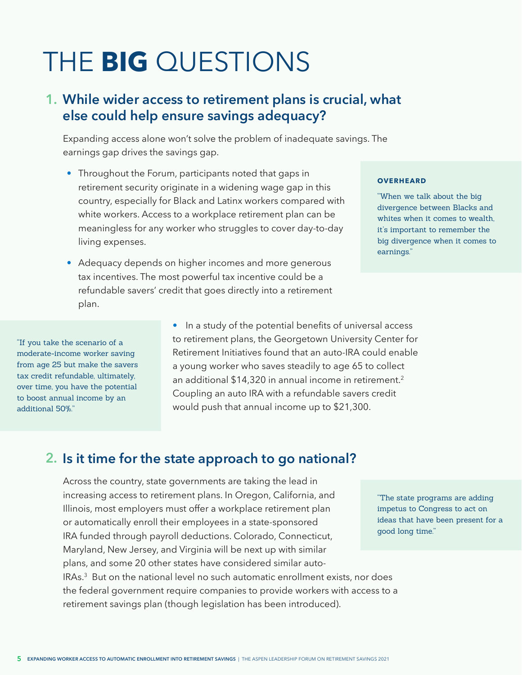## <span id="page-6-0"></span>THE **BIG** QUESTIONS

## **While wider access to retirement plans is crucial, what 1. else could help ensure savings adequacy?**

Expanding access alone won't solve the problem of inadequate savings. The earnings gap drives the savings gap.

- Throughout the Forum, participants noted that gaps in retirement security originate in a widening wage gap in this country, especially for Black and Latinx workers compared with white workers. Access to a workplace retirement plan can be meaningless for any worker who struggles to cover day-to-day living expenses.
- Adequacy depends on higher incomes and more generous tax incentives. The most powerful tax incentive could be a refundable savers' credit that goes directly into a retirement plan.

#### **OVERHEARD**

"When we talk about the big divergence between Blacks and whites when it comes to wealth. it's important to remember the big divergence when it comes to earnings."

"If you take the scenario of a moderate-income worker saving from age 25 but make the savers tax credit refundable, ultimately, over time, you have the potential to boost annual income by an additional 50%."

• In a study of the potential benefits of universal access to retirement plans, the Georgetown University Center for Retirement Initiatives found that an auto-IRA could enable a young worker who saves steadily to age 65 to collect an additional \$14,320 in annual income in retirement.<sup>2</sup> Coupling an auto IRA with a refundable savers credit would push that annual income up to \$21,300.

### **Is it time for the state approach to go national? 2.**

Across the country, state governments are taking the lead in increasing access to retirement plans. In Oregon, California, and Illinois, most employers must offer a workplace retirement plan or automatically enroll their employees in a state-sponsored IRA funded through payroll deductions. Colorado, Connecticut, Maryland, New Jersey, and Virginia will be next up with similar plans, and some 20 other states have considered similar auto-IRAs.[3](#page-42-0) But on the national level no such automatic enrollment exists, nor does the federal government require companies to provide workers with access to a retirement savings plan (though legislation has been introduced).

"The state programs are adding impetus to Congress to act on ideas that have been present for a good long time."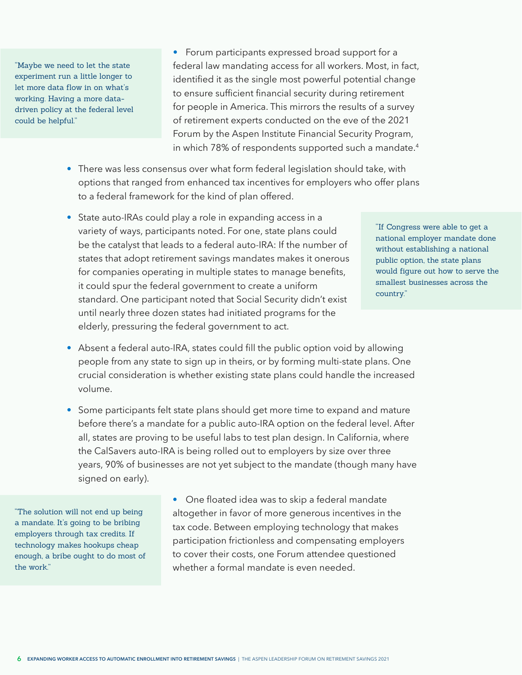<span id="page-7-0"></span>"Maybe we need to let the state experiment run a little longer to let more data flow in on what's working. Having a more datadriven policy at the federal level could be helpful."

• Forum participants expressed broad support for a federal law mandating access for all workers. Most, in fact, identified it as the single most powerful potential change to ensure sufficient financial security during retirement for people in America. This mirrors the results of a survey of retirement experts conducted on the eve of the 2021 Forum by the Aspen Institute Financial Security Program, in which 78% of respondents supported such a mandate.<sup>[4](#page-42-0)</sup>

- There was less consensus over what form federal legislation should take, with options that ranged from enhanced tax incentives for employers who offer plans to a federal framework for the kind of plan offered.
- State auto-IRAs could play a role in expanding access in a variety of ways, participants noted. For one, state plans could be the catalyst that leads to a federal auto-IRA: If the number of states that adopt retirement savings mandates makes it onerous for companies operating in multiple states to manage benefits, it could spur the federal government to create a uniform standard. One participant noted that Social Security didn't exist until nearly three dozen states had initiated programs for the elderly, pressuring the federal government to act.

"If Congress were able to get a national employer mandate done without establishing a national public option, the state plans would figure out how to serve the smallest businesses across the country."

- Absent a federal auto-IRA, states could fill the public option void by allowing people from any state to sign up in theirs, or by forming multi-state plans. One crucial consideration is whether existing state plans could handle the increased volume.
- Some participants felt state plans should get more time to expand and mature before there's a mandate for a public auto-IRA option on the federal level. After all, states are proving to be useful labs to test plan design. In California, where the CalSavers auto-IRA is being rolled out to employers by size over three years, 90% of businesses are not yet subject to the mandate (though many have signed on early).

"The solution will not end up being a mandate. It's going to be bribing employers through tax credits. If technology makes hookups cheap enough, a bribe ought to do most of the work."

• One floated idea was to skip a federal mandate altogether in favor of more generous incentives in the tax code. Between employing technology that makes participation frictionless and compensating employers to cover their costs, one Forum attendee questioned whether a formal mandate is even needed.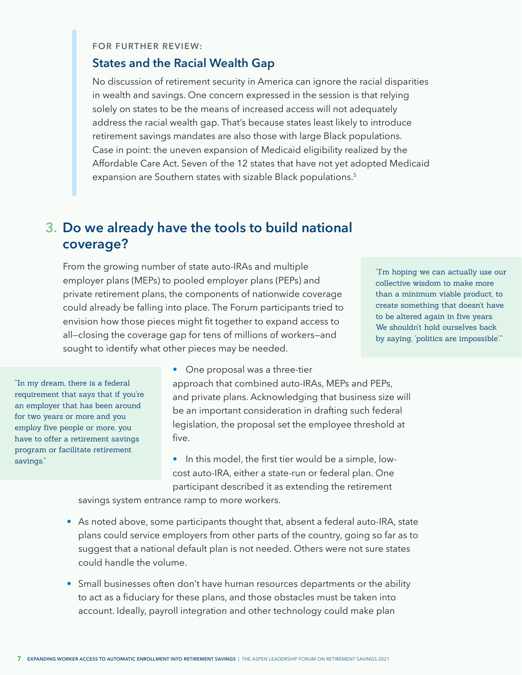### <span id="page-8-0"></span>**FOR FURTHER REVIEW:**

### **States and the Racial Wealth Gap**

No discussion of retirement security in America can ignore the racial disparities in wealth and savings. One concern expressed in the session is that relying solely on states to be the means of increased access will not adequately address the racial wealth gap. That's because states least likely to introduce retirement savings mandates are also those with large Black populations. Case in point: the uneven expansion of Medicaid eligibility realized by the Affordable Care Act. Seven of the 12 states that have not yet adopted Medicaid expansion are Southern states with sizable Black populations.<sup>[5](#page-42-0)</sup>

### **Do we already have the tools to build national 3. coverage?**

From the growing number of state auto-IRAs and multiple employer plans (MEPs) to pooled employer plans (PEPs) and private retirement plans, the components of nationwide coverage could already be falling into place. The Forum participants tried to envision how those pieces might fit together to expand access to all—closing the coverage gap for tens of millions of workers—and sought to identify what other pieces may be needed.

"I'm hoping we can actually use our collective wisdom to make more than a minimum viable product, to create something that doesn't have to be altered again in five years. We shouldn't hold ourselves back by saying, 'politics are impossible'."

"In my dream, there is a federal requirement that says that if you're an employer that has been around for two years or more and you employ five people or more, you have to offer a retirement savings program or facilitate retirement savings."

• One proposal was a three-tier approach that combined auto-IRAs, MEPs and PEPs, and private plans. Acknowledging that business size will be an important consideration in drafting such federal legislation, the proposal set the employee threshold at five.

• In this model, the first tier would be a simple, lowcost auto-IRA, either a state-run or federal plan. One participant described it as extending the retirement

savings system entrance ramp to more workers.

- As noted above, some participants thought that, absent a federal auto-IRA, state plans could service employers from other parts of the country, going so far as to suggest that a national default plan is not needed. Others were not sure states could handle the volume.
- Small businesses often don't have human resources departments or the ability to act as a fiduciary for these plans, and those obstacles must be taken into account. Ideally, payroll integration and other technology could make plan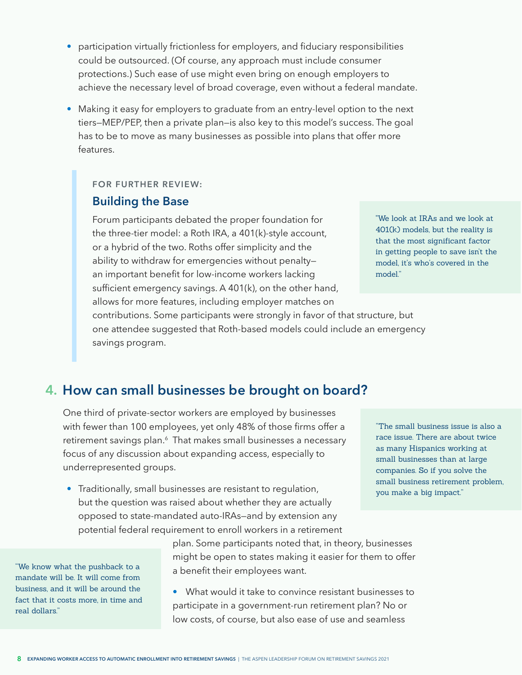- <span id="page-9-0"></span>• participation virtually frictionless for employers, and fiduciary responsibilities could be outsourced. (Of course, any approach must include consumer protections.) Such ease of use might even bring on enough employers to achieve the necessary level of broad coverage, even without a federal mandate.
- Making it easy for employers to graduate from an entry-level option to the next tiers—MEP/PEP, then a private plan—is also key to this model's success. The goal has to be to move as many businesses as possible into plans that offer more features.

#### **FOR FURTHER REVIEW:**

### **Building the Base**

Forum participants debated the proper foundation for the three-tier model: a Roth IRA, a 401(k)-style account, or a hybrid of the two. Roths offer simplicity and the ability to withdraw for emergencies without penalty an important benefit for low-income workers lacking sufficient emergency savings. A 401(k), on the other hand, allows for more features, including employer matches on

"We look at IRAs and we look at 401(k) models, but the reality is that the most significant factor in getting people to save isn't the model, it's who's covered in the model."

contributions. Some participants were strongly in favor of that structure, but one attendee suggested that Roth-based models could include an emergency savings program.

### **How can small businesses be brought on board? 4.**

One third of private-sector workers are employed by businesses with fewer than 100 employees, yet only 48% of those firms offer a retirement savings plan.<sup>[6](#page-42-0)</sup> That makes small businesses a necessary focus of any discussion about expanding access, especially to underrepresented groups.

• Traditionally, small businesses are resistant to regulation, but the question was raised about whether they are actually opposed to state-mandated auto-IRAs—and by extension any potential federal requirement to enroll workers in a retirement

"We know what the pushback to a mandate will be. It will come from business, and it will be around the fact that it costs more, in time and real dollars."

plan. Some participants noted that, in theory, businesses might be open to states making it easier for them to offer a benefit their employees want.

• What would it take to convince resistant businesses to participate in a government-run retirement plan? No or low costs, of course, but also ease of use and seamless

"The small business issue is also a race issue. There are about twice as many Hispanics working at small businesses than at large companies. So if you solve the small business retirement problem, you make a big impact."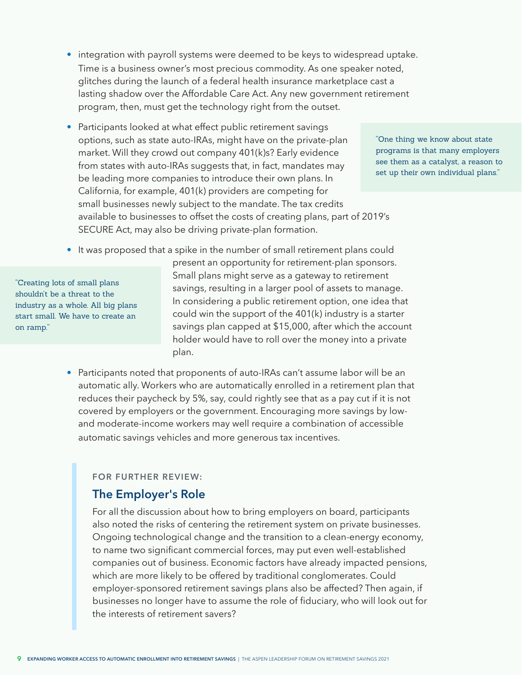- integration with payroll systems were deemed to be keys to widespread uptake. Time is a business owner's most precious commodity. As one speaker noted, glitches during the launch of a federal health insurance marketplace cast a lasting shadow over the Affordable Care Act. Any new government retirement program, then, must get the technology right from the outset.
- Participants looked at what effect public retirement savings options, such as state auto-IRAs, might have on the private-plan market. Will they crowd out company 401(k)s? Early evidence from states with auto-IRAs suggests that, in fact, mandates may be leading more companies to introduce their own plans. In California, for example, 401(k) providers are competing for small businesses newly subject to the mandate. The tax credits available to businesses to offset the costs of creating plans, part of 2019's SECURE Act, may also be driving private-plan formation.

"One thing we know about state programs is that many employers see them as a catalyst, a reason to set up their own individual plans."

• It was proposed that a spike in the number of small retirement plans could

"Creating lots of small plans shouldn't be a threat to the industry as a whole. All big plans start small. We have to create an on ramp."

present an opportunity for retirement-plan sponsors. Small plans might serve as a gateway to retirement savings, resulting in a larger pool of assets to manage. In considering a public retirement option, one idea that could win the support of the 401(k) industry is a starter savings plan capped at \$15,000, after which the account holder would have to roll over the money into a private plan.

• Participants noted that proponents of auto-IRAs can't assume labor will be an automatic ally. Workers who are automatically enrolled in a retirement plan that reduces their paycheck by 5%, say, could rightly see that as a pay cut if it is not covered by employers or the government. Encouraging more savings by lowand moderate-income workers may well require a combination of accessible automatic savings vehicles and more generous tax incentives.

#### **FOR FURTHER REVIEW:**

### **The Employer's Role**

For all the discussion about how to bring employers on board, participants also noted the risks of centering the retirement system on private businesses. Ongoing technological change and the transition to a clean-energy economy, to name two significant commercial forces, may put even well-established companies out of business. Economic factors have already impacted pensions, which are more likely to be offered by traditional conglomerates. Could employer-sponsored retirement savings plans also be affected? Then again, if businesses no longer have to assume the role of fiduciary, who will look out for the interests of retirement savers?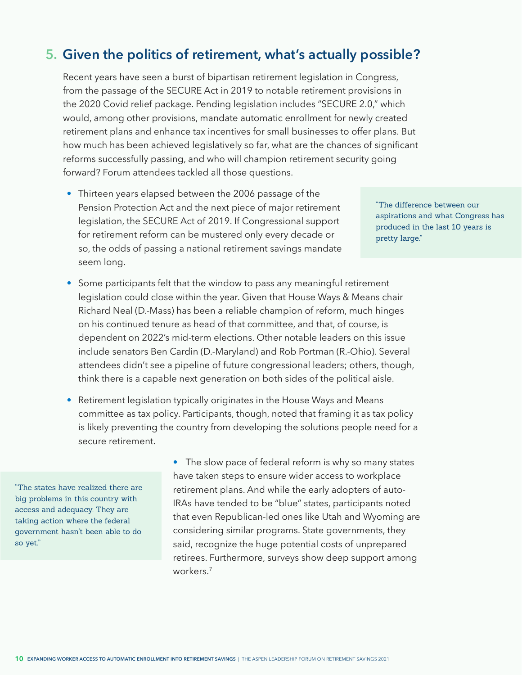## <span id="page-11-0"></span>**Given the politics of retirement, what's actually possible? 5.**

Recent years have seen a burst of bipartisan retirement legislation in Congress, from the passage of the SECURE Act in 2019 to notable retirement provisions in the 2020 Covid relief package. Pending legislation includes "SECURE 2.0," which would, among other provisions, mandate automatic enrollment for newly created retirement plans and enhance tax incentives for small businesses to offer plans. But how much has been achieved legislatively so far, what are the chances of significant reforms successfully passing, and who will champion retirement security going forward? Forum attendees tackled all those questions.

• Thirteen years elapsed between the 2006 passage of the Pension Protection Act and the next piece of major retirement legislation, the SECURE Act of 2019. If Congressional support for retirement reform can be mustered only every decade or so, the odds of passing a national retirement savings mandate seem long.

"The difference between our aspirations and what Congress has produced in the last 10 years is pretty large."

- Some participants felt that the window to pass any meaningful retirement legislation could close within the year. Given that House Ways & Means chair Richard Neal (D.-Mass) has been a reliable champion of reform, much hinges on his continued tenure as head of that committee, and that, of course, is dependent on 2022's mid-term elections. Other notable leaders on this issue include senators Ben Cardin (D.-Maryland) and Rob Portman (R.-Ohio). Several attendees didn't see a pipeline of future congressional leaders; others, though, think there is a capable next generation on both sides of the political aisle.
- Retirement legislation typically originates in the House Ways and Means committee as tax policy. Participants, though, noted that framing it as tax policy is likely preventing the country from developing the solutions people need for a secure retirement.

"The states have realized there are big problems in this country with access and adequacy. They are taking action where the federal government hasn't been able to do so yet."

• The slow pace of federal reform is why so many states have taken steps to ensure wider access to workplace retirement plans. And while the early adopters of auto-IRAs have tended to be "blue" states, participants noted that even Republican-led ones like Utah and Wyoming are considering similar programs. State governments, they said, recognize the huge potential costs of unprepared retirees. Furthermore, surveys show deep support among workers.<sup>7</sup>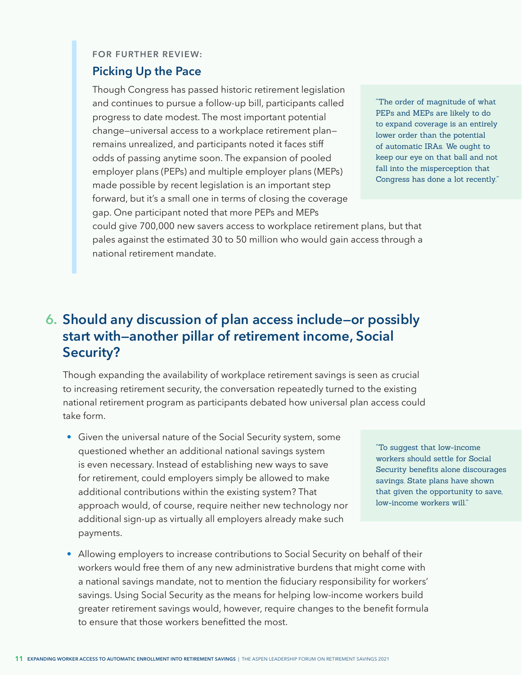#### **FOR FURTHER REVIEW:**

### **Picking Up the Pace**

Though Congress has passed historic retirement legislation and continues to pursue a follow-up bill, participants called progress to date modest. The most important potential change—universal access to a workplace retirement plan remains unrealized, and participants noted it faces stiff odds of passing anytime soon. The expansion of pooled employer plans (PEPs) and multiple employer plans (MEPs) made possible by recent legislation is an important step forward, but it's a small one in terms of closing the coverage gap. One participant noted that more PEPs and MEPs

"The order of magnitude of what PEPs and MEPs are likely to do to expand coverage is an entirely lower order than the potential of automatic IRAs. We ought to keep our eye on that ball and not fall into the misperception that Congress has done a lot recently."

could give 700,000 new savers access to workplace retirement plans, but that pales against the estimated 30 to 50 million who would gain access through a national retirement mandate.

## **Should any discussion of plan access include—or possibly 6. start with—another pillar of retirement income, Social Security?**

Though expanding the availability of workplace retirement savings is seen as crucial to increasing retirement security, the conversation repeatedly turned to the existing national retirement program as participants debated how universal plan access could take form.

• Given the universal nature of the Social Security system, some questioned whether an additional national savings system is even necessary. Instead of establishing new ways to save for retirement, could employers simply be allowed to make additional contributions within the existing system? That approach would, of course, require neither new technology nor additional sign-up as virtually all employers already make such payments.

"To suggest that low-income workers should settle for Social Security benefits alone discourages savings. State plans have shown that given the opportunity to save, low-income workers will."

• Allowing employers to increase contributions to Social Security on behalf of their workers would free them of any new administrative burdens that might come with a national savings mandate, not to mention the fiduciary responsibility for workers' savings. Using Social Security as the means for helping low-income workers build greater retirement savings would, however, require changes to the benefit formula to ensure that those workers benefitted the most.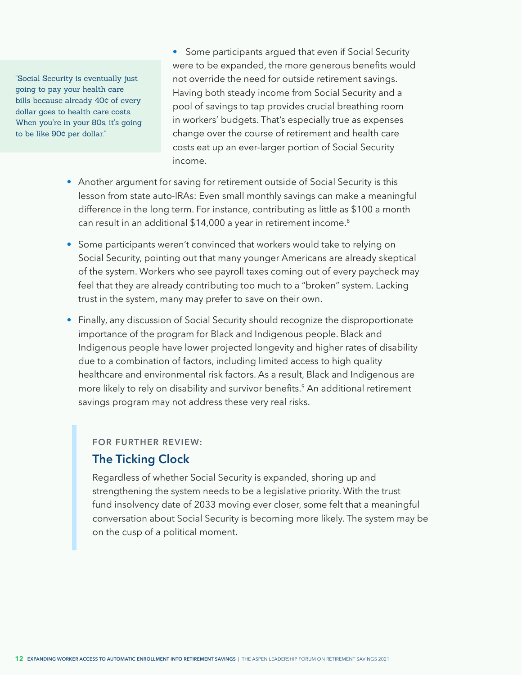<span id="page-13-0"></span>"Social Security is eventually just going to pay your health care bills because already 40¢ of every dollar goes to health care costs. When you're in your 80s, it's going to be like 90¢ per dollar."

• Some participants argued that even if Social Security were to be expanded, the more generous benefits would not override the need for outside retirement savings. Having both steady income from Social Security and a pool of savings to tap provides crucial breathing room in workers' budgets. That's especially true as expenses change over the course of retirement and health care costs eat up an ever-larger portion of Social Security income.

- Another argument for saving for retirement outside of Social Security is this lesson from state auto-IRAs: Even small monthly savings can make a meaningful difference in the long term. For instance, contributing as little as \$100 a month can result in an additional \$14,000 a year in retirement income.<sup>[8](#page-42-0)</sup>
- Some participants weren't convinced that workers would take to relying on Social Security, pointing out that many younger Americans are already skeptical of the system. Workers who see payroll taxes coming out of every paycheck may feel that they are already contributing too much to a "broken" system. Lacking trust in the system, many may prefer to save on their own.
- Finally, any discussion of Social Security should recognize the disproportionate importance of the program for Black and Indigenous people. Black and Indigenous people have lower projected longevity and higher rates of disability due to a combination of factors, including limited access to high quality healthcare and environmental risk factors. As a result, Black and Indigenous are more likely to rely on disability and survivor benefits.<sup>[9](#page-42-0)</sup> An additional retirement savings program may not address these very real risks.

#### **FOR FURTHER REVIEW:**

### **The Ticking Clock**

Regardless of whether Social Security is expanded, shoring up and strengthening the system needs to be a legislative priority. With the trust fund insolvency date of 2033 moving ever closer, some felt that a meaningful conversation about Social Security is becoming more likely. The system may be on the cusp of a political moment.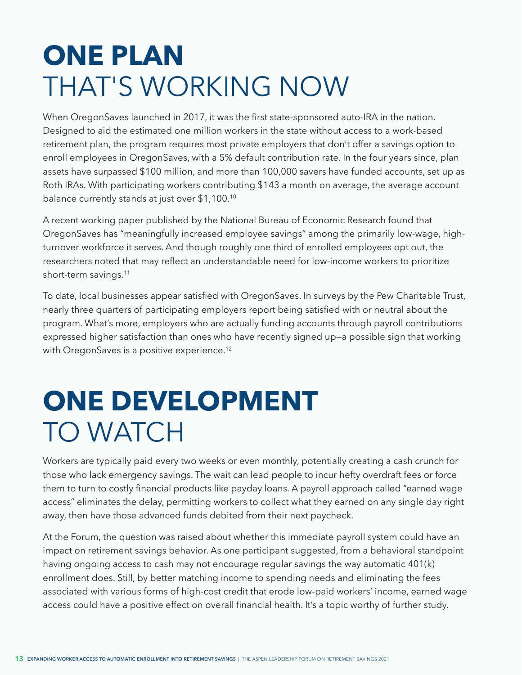## <span id="page-14-0"></span>**ONE PLAN**  THAT'S WORKING NOW

When OregonSaves launched in 2017, it was the first state-sponsored auto-IRA in the nation. Designed to aid the estimated one million workers in the state without access to a work-based retirement plan, the program requires most private employers that don't offer a savings option to enroll employees in OregonSaves, with a 5% default contribution rate. In the four years since, plan assets have surpassed \$100 million, and more than 100,000 savers have funded accounts, set up as Roth IRAs. With participating workers contributing \$143 a month on average, the average account balance currently stands at just over \$1,100.[10](#page-42-0)

A recent working paper published by the National Bureau of Economic Research found that OregonSaves has "meaningfully increased employee savings" among the primarily low-wage, highturnover workforce it serves. And though roughly one third of enrolled employees opt out, the researchers noted that may reflect an understandable need for low-income workers to prioritize short-term savings[.11](#page-42-0) 

To date, local businesses appear satisfied with OregonSaves. In surveys by the Pew Charitable Trust, nearly three quarters of participating employers report being satisfied with or neutral about the program. What's more, employers who are actually funding accounts through payroll contributions expressed higher satisfaction than ones who have recently signed up—a possible sign that working with OregonSaves is a positive experience.<sup>[12](#page-42-0)</sup>

## **ONE DEVELOPMENT** TO WATCH

Workers are typically paid every two weeks or even monthly, potentially creating a cash crunch for those who lack emergency savings. The wait can lead people to incur hefty overdraft fees or force them to turn to costly financial products like payday loans. A payroll approach called "earned wage access" eliminates the delay, permitting workers to collect what they earned on any single day right away, then have those advanced funds debited from their next paycheck.

At the Forum, the question was raised about whether this immediate payroll system could have an impact on retirement savings behavior. As one participant suggested, from a behavioral standpoint having ongoing access to cash may not encourage regular savings the way automatic 401(k) enrollment does. Still, by better matching income to spending needs and eliminating the fees associated with various forms of high-cost credit that erode low-paid workers' income, earned wage access could have a positive effect on overall financial health. It's a topic worthy of further study.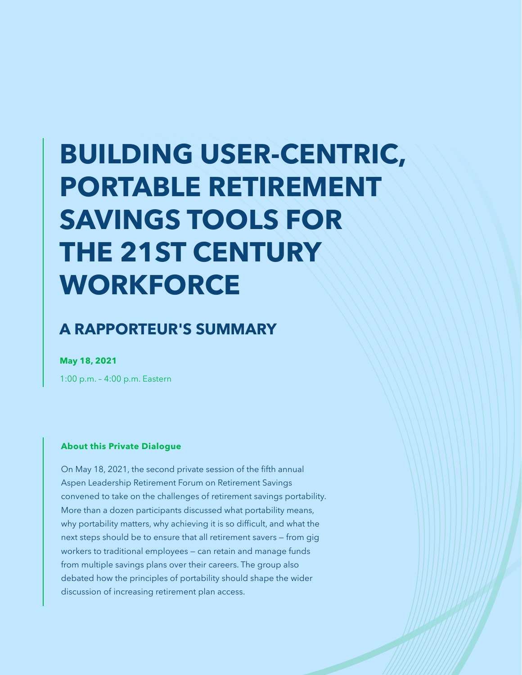# **BUILDING USER-CENTRIC, PORTABLE RETIREMENT SAVINGS TOOLS FOR THE 21ST CENTURY WORKFORCE**

## **A RAPPORTEUR'S SUMMARY**

**May 18, 2021**

1:00 p.m. – 4:00 p.m. Eastern

#### **About this Private Dialogue**

On May 18, 2021, the second private session of the fifth annual Aspen Leadership Retirement Forum on Retirement Savings convened to take on the challenges of retirement savings portability. More than a dozen participants discussed what portability means, why portability matters, why achieving it is so difficult, and what the next steps should be to ensure that all retirement savers — from gig workers to traditional employees — can retain and manage funds from multiple savings plans over their careers. The group also debated how the principles of portability should shape the wider discussion of increasing retirement plan access.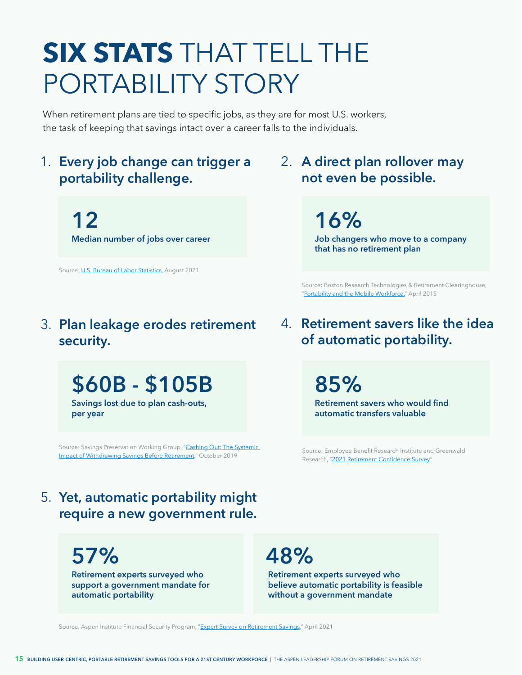## **SIX STATS** THAT TELL THE PORTABILITY STORY

When retirement plans are tied to specific jobs, as they are for most U.S. workers, the task of keeping that savings intact over a career falls to the individuals.

## 1. Every job change can trigger a 2. **portability challenge.**

**12 Median number of jobs over career**

Source: [U.S. Bureau of Labor Statistics,](https://www.bls.gov/news.release/pdf/nlsoy.pdf) August 2021

## **Plan leakage erodes retirement**  3. **security.**

## **\$60B - \$105B**

**Savings lost due to plan cash-outs, per year**

Source: Savings Preservation Working Group, "Cashing Out: The Systemic [Impact of Withdrawing Savings Before Retirement,](https://www.preservingsavings.org/issue-briefs)" October 2019

## **A direct plan rollover may not even be possible.**

**16%**

**Job changers who move to a company that has no retirement plan**

Source: Boston Research Technologies & Retirement Clearinghouse, "[Portability and the Mobile Workforce,"](https://info.rch1.com/hubfs/Presentation_Decks/Mobile_Workforce_Executive_Summary.pdf) April 2015

**Retirement savers like the idea**  4. **of automatic portability.**

**85%**

**Retirement savers who would find automatic transfers valuable**

Source: Employee Benefit Research Institute and Greenwald Research, "[2021 Retirement Confidence Survey"](https://www.ebri.org/docs/default-source/rcs/2021-rcs/rcs_21-fs-6_wsp.pdf?sfvrsn=7ad83a2f_4)

## **Yet, automatic portability might**  5. **require a new government rule.**

**57%**

**Retirement experts surveyed who support a government mandate for automatic portability** 

## **48%**

**Retirement experts surveyed who believe automatic portability is feasible without a government mandate** 

Source: Aspen Institute Financial Security Program, "[Expert Survey on Retirement Savings,](https://www.aspeninstitute.org/publications/expert-survey-on-retirement-savings/)" April 2021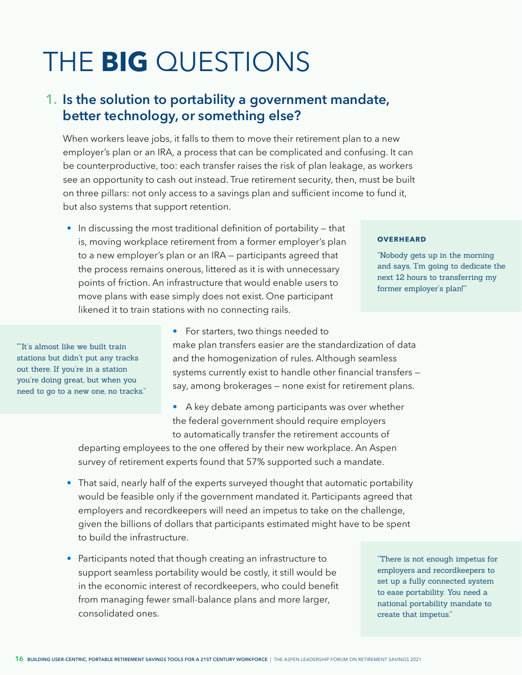# THE **BIG** QUESTIONS

## **Is the solution to portability a government mandate, 1. better technology, or something else?**

When workers leave jobs, it falls to them to move their retirement plan to a new employer's plan or an IRA, a process that can be complicated and confusing. It can be counterproductive, too: each transfer raises the risk of plan leakage, as workers see an opportunity to cash out instead. True retirement security, then, must be built on three pillars: not only access to a savings plan and sufficient income to fund it, but also systems that support retention.

• In discussing the most traditional definition of portability – that is, moving workplace retirement from a former employer's plan to a new employer's plan or an IRA — participants agreed that the process remains onerous, littered as it is with unnecessary points of friction. An infrastructure that would enable users to move plans with ease simply does not exist. One participant likened it to train stations with no connecting rails.

#### **OVERHEARD**

"Nobody gets up in the morning and says, 'I'm going to dedicate the next 12 hours to transferring my former employer's plan!'"

""It's almost like we built train stations but didn't put any tracks out there. If you're in a station you're doing great, but when you need to go to a new one, no tracks." • For starters, two things needed to

make plan transfers easier are the standardization of data and the homogenization of rules. Although seamless systems currently exist to handle other financial transfers say, among brokerages — none exist for retirement plans.

### • A key debate among participants was over whether the federal government should require employers to automatically transfer the retirement accounts of

departing employees to the one offered by their new workplace. An Aspen survey of retirement experts found that 57% supported such a mandate.

- That said, nearly half of the experts surveyed thought that automatic portability would be feasible only if the government mandated it. Participants agreed that employers and recordkeepers will need an impetus to take on the challenge, given the billions of dollars that participants estimated might have to be spent to build the infrastructure.
- Participants noted that though creating an infrastructure to support seamless portability would be costly, it still would be in the economic interest of recordkeepers, who could benefit from managing fewer small-balance plans and more larger, consolidated ones.

"There is not enough impetus for employers and recordkeepers to set up a fully connected system to ease portability. You need a national portability mandate to create that impetus."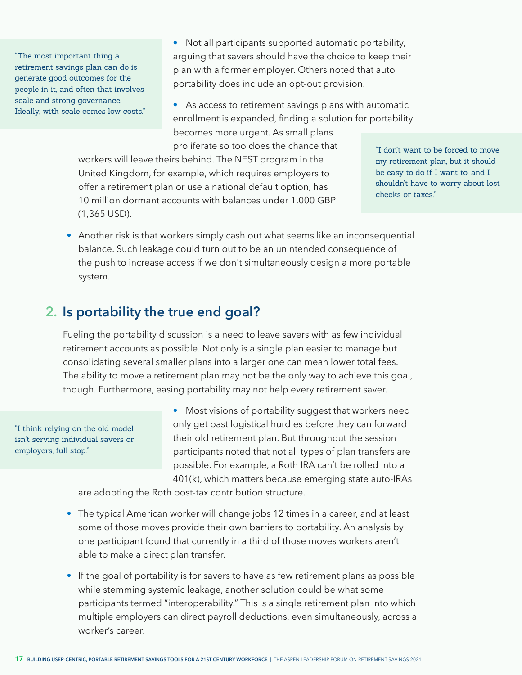"The most important thing a retirement savings plan can do is generate good outcomes for the people in it, and often that involves scale and strong governance. Ideally, with scale comes low costs." • Not all participants supported automatic portability, arguing that savers should have the choice to keep their plan with a former employer. Others noted that auto portability does include an opt-out provision.

• As access to retirement savings plans with automatic enrollment is expanded, finding a solution for portability becomes more urgent. As small plans proliferate so too does the chance that

workers will leave theirs behind. The NEST program in the United Kingdom, for example, which requires employers to offer a retirement plan or use a national default option, has 10 million dormant accounts with balances under 1,000 GBP (1,365 USD).

"I don't want to be forced to move my retirement plan, but it should be easy to do if I want to, and I shouldn't have to worry about lost checks or taxes."

• Another risk is that workers simply cash out what seems like an inconsequential balance. Such leakage could turn out to be an unintended consequence of the push to increase access if we don't simultaneously design a more portable system.

### **Is portability the true end goal? 2.**

Fueling the portability discussion is a need to leave savers with as few individual retirement accounts as possible. Not only is a single plan easier to manage but consolidating several smaller plans into a larger one can mean lower total fees. The ability to move a retirement plan may not be the only way to achieve this goal, though. Furthermore, easing portability may not help every retirement saver.

"I think relying on the old model isn't serving individual savers or employers, full stop."

• Most visions of portability suggest that workers need only get past logistical hurdles before they can forward their old retirement plan. But throughout the session participants noted that not all types of plan transfers are possible. For example, a Roth IRA can't be rolled into a 401(k), which matters because emerging state auto-IRAs

are adopting the Roth post-tax contribution structure.

- The typical American worker will change jobs 12 times in a career, and at least some of those moves provide their own barriers to portability. An analysis by one participant found that currently in a third of those moves workers aren't able to make a direct plan transfer.
- If the goal of portability is for savers to have as few retirement plans as possible while stemming systemic leakage, another solution could be what some participants termed "interoperability." This is a single retirement plan into which multiple employers can direct payroll deductions, even simultaneously, across a worker's career.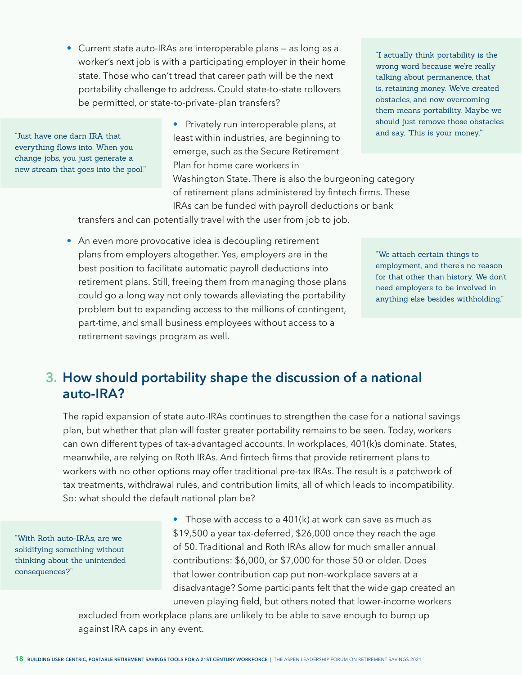• Current state auto-IRAs are interoperable plans — as long as a worker's next job is with a participating employer in their home state. Those who can't tread that career path will be the next portability challenge to address. Could state-to-state rollovers be permitted, or state-to-private-plan transfers?

"Just have one darn IRA that everything flows into. When you change jobs, you just generate a new stream that goes into the pool."

• Privately run interoperable plans, at least within industries, are beginning to emerge, such as the Secure Retirement Plan for home care workers in Washington State. There is also the burgeoning category of retirement plans administered by fintech firms. These IRAs can be funded with payroll deductions or bank

"I actually think portability is the wrong word because we're really talking about permanence, that is, retaining money. We've created obstacles, and now overcoming them means portability. Maybe we should just remove those obstacles and say, 'This is your money.'"

transfers and can potentially travel with the user from job to job.

• An even more provocative idea is decoupling retirement plans from employers altogether. Yes, employers are in the best position to facilitate automatic payroll deductions into retirement plans. Still, freeing them from managing those plans could go a long way not only towards alleviating the portability problem but to expanding access to the millions of contingent, part-time, and small business employees without access to a retirement savings program as well.

"We attach certain things to employment, and there's no reason for that other than history. We don't need employers to be involved in anything else besides withholding."

## **How should portability shape the discussion of a national 3.auto-IRA?**

The rapid expansion of state auto-IRAs continues to strengthen the case for a national savings plan, but whether that plan will foster greater portability remains to be seen. Today, workers can own different types of tax-advantaged accounts. In workplaces, 401(k)s dominate. States, meanwhile, are relying on Roth IRAs. And fintech firms that provide retirement plans to workers with no other options may offer traditional pre-tax IRAs. The result is a patchwork of tax treatments, withdrawal rules, and contribution limits, all of which leads to incompatibility. So: what should the default national plan be?

"With Roth auto-IRAs, are we solidifying something without thinking about the unintended consequences?"

• Those with access to a 401(k) at work can save as much as \$19,500 a year tax-deferred, \$26,000 once they reach the age of 50. Traditional and Roth IRAs allow for much smaller annual contributions: \$6,000, or \$7,000 for those 50 or older. Does that lower contribution cap put non-workplace savers at a disadvantage? Some participants felt that the wide gap created an uneven playing field, but others noted that lower-income workers

excluded from workplace plans are unlikely to be able to save enough to bump up against IRA caps in any event.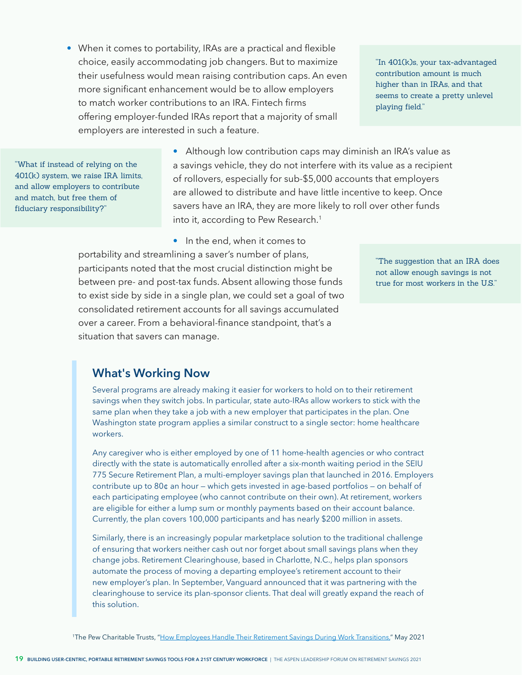• When it comes to portability, IRAs are a practical and flexible choice, easily accommodating job changers. But to maximize their usefulness would mean raising contribution caps. An even more significant enhancement would be to allow employers to match worker contributions to an IRA. Fintech firms offering employer-funded IRAs report that a majority of small employers are interested in such a feature.

"In 401(k)s, your tax-advantaged contribution amount is much higher than in IRAs, and that seems to create a pretty unlevel playing field."

"What if instead of relying on the 401(k) system, we raise IRA limits, and allow employers to contribute and match, but free them of fiduciary responsibility?"

• Although low contribution caps may diminish an IRA's value as a savings vehicle, they do not interfere with its value as a recipient of rollovers, especially for sub-\$5,000 accounts that employers are allowed to distribute and have little incentive to keep. Once savers have an IRA, they are more likely to roll over other funds into it, according to Pew Research.<sup>1</sup>

• In the end, when it comes to

portability and streamlining a saver's number of plans, participants noted that the most crucial distinction might be between pre- and post-tax funds. Absent allowing those funds to exist side by side in a single plan, we could set a goal of two consolidated retirement accounts for all savings accumulated over a career. From a behavioral-finance standpoint, that's a situation that savers can manage.

"The suggestion that an IRA does not allow enough savings is not true for most workers in the U.S."

### **What's Working Now**

Several programs are already making it easier for workers to hold on to their retirement savings when they switch jobs. In particular, state auto-IRAs allow workers to stick with the same plan when they take a job with a new employer that participates in the plan. One Washington state program applies a similar construct to a single sector: home healthcare workers.

Any caregiver who is either employed by one of 11 home-health agencies or who contract directly with the state is automatically enrolled after a six-month waiting period in the SEIU 775 Secure Retirement Plan, a multi-employer savings plan that launched in 2016. Employers contribute up to 80¢ an hour — which gets invested in age-based portfolios — on behalf of each participating employee (who cannot contribute on their own). At retirement, workers are eligible for either a lump sum or monthly payments based on their account balance. Currently, the plan covers 100,000 participants and has nearly \$200 million in assets.

Similarly, there is an increasingly popular marketplace solution to the traditional challenge of ensuring that workers neither cash out nor forget about small savings plans when they change jobs. Retirement Clearinghouse, based in Charlotte, N.C., helps plan sponsors automate the process of moving a departing employee's retirement account to their new employer's plan. In September, Vanguard announced that it was partnering with the clearinghouse to service its plan-sponsor clients. That deal will greatly expand the reach of this solution.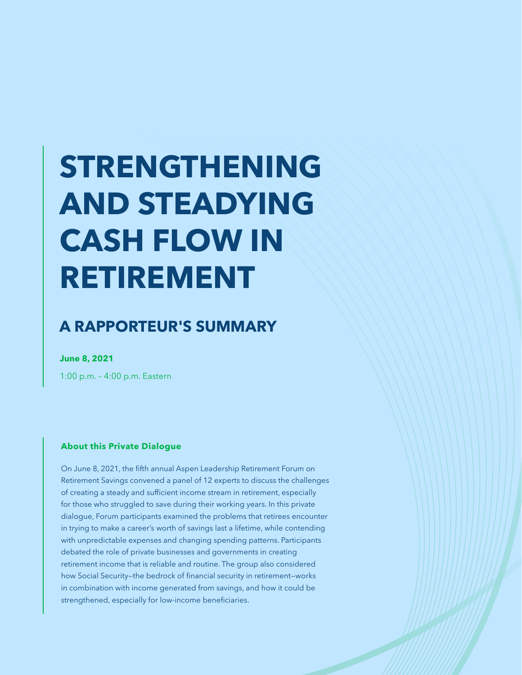# **STRENGTHENING AND STEADYING CASH FLOW IN RETIREMENT**

## **A RAPPORTEUR'S SUMMARY**

**June 8, 2021**

1:00 p.m. – 4:00 p.m. Eastern

#### **About this Private Dialogue**

On June 8, 2021, the fifth annual Aspen Leadership Retirement Forum on Retirement Savings convened a panel of 12 experts to discuss the challenges of creating a steady and sufficient income stream in retirement, especially for those who struggled to save during their working years. In this private dialogue, Forum participants examined the problems that retirees encounter in trying to make a career's worth of savings last a lifetime, while contending with unpredictable expenses and changing spending patterns. Participants debated the role of private businesses and governments in creating retirement income that is reliable and routine. The group also considered how Social Security—the bedrock of financial security in retirement—works in combination with income generated from savings, and how it could be strengthened, especially for low-income beneficiaries.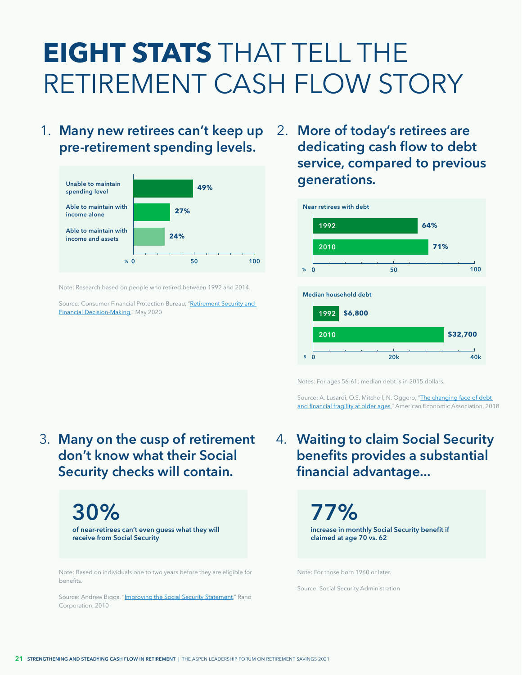## **EIGHT STATS** THAT TELL THE RETIREMENT CASH FLOW STORY

1. Many new retirees can't keep up 2. **pre-retirement spending levels.**



Note: Research based on people who retired between 1992 and 2014.

Source: Consumer Financial Protection Bureau, "Retirement Security and [Financial Decision-Making,](https://www.consumerfinance.gov/data-research/research-reports/retirement-security-financial-decision-making-research-brief/)" May 2020

**More of today's retirees are dedicating cash flow to debt service, compared to previous generations.**



Notes: For ages 56-61; median debt is in 2015 dollars.

Source: A. Lusardi, O.S. Mitchell, N. Oggero, "The changing face of debt [and financial fragility at older ages](https://gflec.org/wp-content/uploads/2018/06/Changing-Face-of-Debt-and-Financial-Fragility-at-Older-Ages.pdf?x56511)," American Economic Association, 2018

**Many on the cusp of retirement** 4. 3. **don't know what their Social Security checks will contain.**

> **30% of near-retirees can't even guess what they will receive from Social Security**

Note: Based on individuals one to two years before they are eligible for benefits.

Source: Andrew Biggs, ["Improving the Social Security Statement](https://www.rand.org/pubs/working_papers/WR794.html)," Rand Corporation, 2010

**Waiting to claim Social Security benefits provides a substantial financial advantage...**

> **77% increase in monthly Social Security benefit if claimed at age 70 vs. 62**

Note: For those born 1960 or later.

Source: Social Security Administration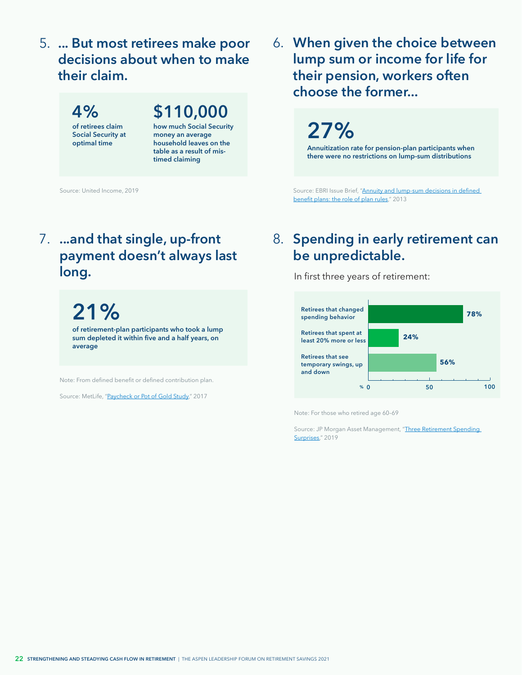**... But most retirees make poor**  5. **decisions about when to make their claim.**

**4% of retirees claim Social Security at optimal time \$110,000 how much Social Security money an average household leaves on the table as a result of mistimed claiming**

Source: United Income, 2019

**When given the choice between**  6. **lump sum or income for life for their pension, workers often choose the former...**

**27%**

**Annuitization rate for pension-plan participants when there were no restrictions on lump-sum distributions**

Source: EBRI Issue Brief, ["Annuity and lump-sum decisions in defined](https://www.ebri.org/content/annuity-and-lump-sum-decisions-in-defined-benefit-plans-the-role-of-plan-rules-5151)  [benefit plans: the role of plan rules](https://www.ebri.org/content/annuity-and-lump-sum-decisions-in-defined-benefit-plans-the-role-of-plan-rules-5151)," 2013

## **7.** ...and that single, up-front **8**. **payment doesn't always last long.**

**21% of retirement-plan participants who took a lump sum depleted it within five and a half years, on average**

Note: From defined benefit or defined contribution plan.

Source: MetLife, "[Paycheck or Pot of Gold Study](https://www.metlife.com/about-us/newsroom/2017/april/retirement-plan-lump-sums-being-depleted-too-quickly/)," 2017

## **Spending in early retirement can be unpredictable.**

In first three years of retirement:



Note: For those who retired age 60–69

Source: JP Morgan Asset Management, "Three Retirement Spending [Surprises,](https://am.jpmorgan.com/us/en/asset-management/adv/insights/retirement-insights/defined-contribution/three-retirement-spending-surprises/)" 2019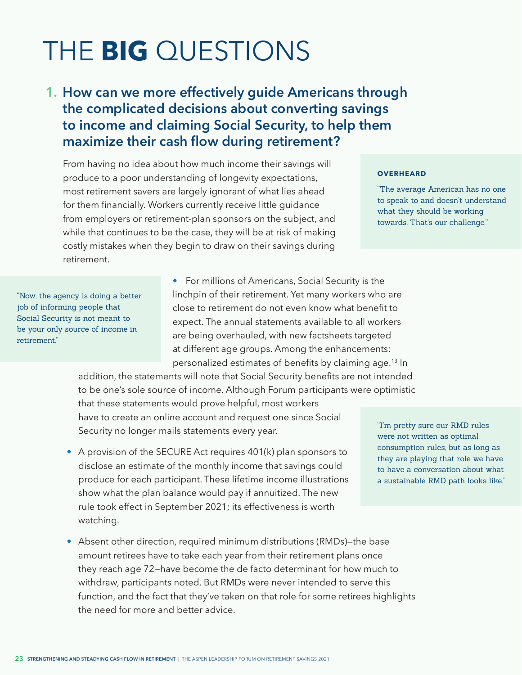## <span id="page-24-0"></span>THE **BIG** QUESTIONS

## **How can we more effectively guide Americans through 1. the complicated decisions about converting savings to income and claiming Social Security, to help them maximize their cash flow during retirement?**

From having no idea about how much income their savings will produce to a poor understanding of longevity expectations, most retirement savers are largely ignorant of what lies ahead for them financially. Workers currently receive little guidance from employers or retirement-plan sponsors on the subject, and while that continues to be the case, they will be at risk of making costly mistakes when they begin to draw on their savings during retirement.

#### **OVERHEARD**

"The average American has no one to speak to and doesn't understand what they should be working towards. That's our challenge."

"Now, the agency is doing a better job of informing people that Social Security is not meant to be your only source of income in retirement."

• For millions of Americans, Social Security is the linchpin of their retirement. Yet many workers who are close to retirement do not even know what benefit to expect. The annual statements available to all workers are being overhauled, with new factsheets targeted at different age groups. Among the enhancements: personalized estimates of benefits by claiming age.[13](#page-42-0) In

addition, the statements will note that Social Security benefits are not intended to be one's sole source of income. Although Forum participants were optimistic that these statements would prove helpful, most workers have to create an online account and request one since Social Security no longer mails statements every year.

- A provision of the SECURE Act requires 401(k) plan sponsors to disclose an estimate of the monthly income that savings could produce for each participant. These lifetime income illustrations show what the plan balance would pay if annuitized. The new rule took effect in September 2021; its effectiveness is worth watching.
- Absent other direction, required minimum distributions (RMDs)-the base amount retirees have to take each year from their retirement plans once they reach age 72—have become the de facto determinant for how much to withdraw, participants noted. But RMDs were never intended to serve this function, and the fact that they've taken on that role for some retirees highlights the need for more and better advice.

"I'm pretty sure our RMD rules were not written as optimal consumption rules, but as long as they are playing that role we have to have a conversation about what a sustainable RMD path looks like."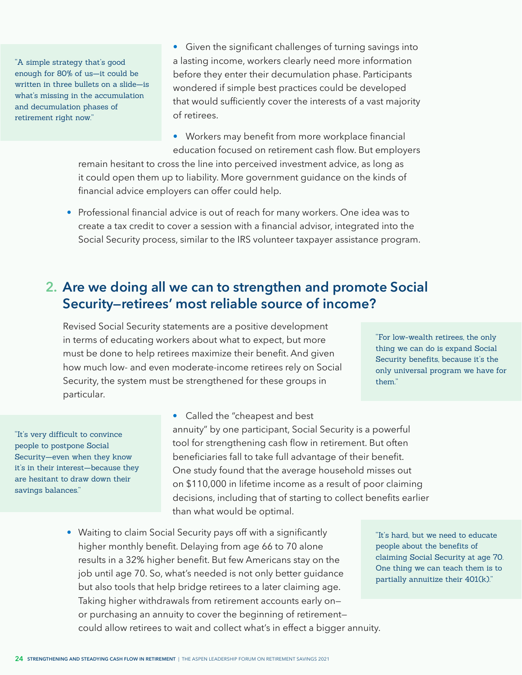"A simple strategy that's good enough for 80% of us—it could be written in three bullets on a slide—is what's missing in the accumulation and decumulation phases of retirement right now."

• Given the significant challenges of turning savings into a lasting income, workers clearly need more information before they enter their decumulation phase. Participants wondered if simple best practices could be developed that would sufficiently cover the interests of a vast majority of retirees.

• Workers may benefit from more workplace financial education focused on retirement cash flow. But employers remain hesitant to cross the line into perceived investment advice, as long as it could open them up to liability. More government guidance on the kinds of financial advice employers can offer could help.

• Professional financial advice is out of reach for many workers. One idea was to create a tax credit to cover a session with a financial advisor, integrated into the Social Security process, similar to the IRS volunteer taxpayer assistance program.

### **Are we doing all we can to strengthen and promote Social 2. Security—retirees' most reliable source of income?**

Revised Social Security statements are a positive development in terms of educating workers about what to expect, but more must be done to help retirees maximize their benefit. And given how much low- and even moderate-income retirees rely on Social Security, the system must be strengthened for these groups in particular.

"For low-wealth retirees, the only thing we can do is expand Social Security benefits, because it's the only universal program we have for them."

"It's very difficult to convince people to postpone Social Security—even when they know it's in their interest—because they are hesitant to draw down their savings balances."

• Called the "cheapest and best annuity" by one participant, Social Security is a powerful tool for strengthening cash flow in retirement. But often beneficiaries fall to take full advantage of their benefit. One study found that the average household misses out on \$110,000 in lifetime income as a result of poor claiming decisions, including that of starting to collect benefits earlier than what would be optimal.

• Waiting to claim Social Security pays off with a significantly higher monthly benefit. Delaying from age 66 to 70 alone results in a 32% higher benefit. But few Americans stay on the job until age 70. So, what's needed is not only better guidance but also tools that help bridge retirees to a later claiming age. Taking higher withdrawals from retirement accounts early on or purchasing an annuity to cover the beginning of retirement could allow retirees to wait and collect what's in effect a bigger annuity.

"It's hard, but we need to educate people about the benefits of claiming Social Security at age 70. One thing we can teach them is to partially annuitize their 401(k)."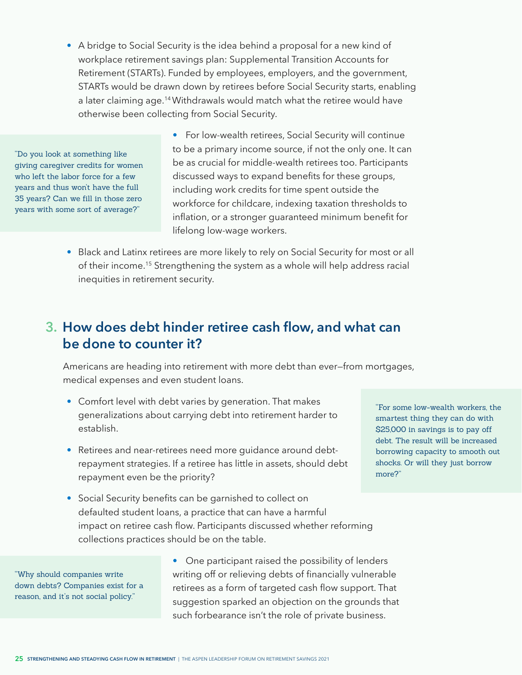<span id="page-26-0"></span>• A bridge to Social Security is the idea behind a proposal for a new kind of workplace retirement savings plan: Supplemental Transition Accounts for Retirement (STARTs). Funded by employees, employers, and the government, STARTs would be drawn down by retirees before Social Security starts, enabling a later claiming age.<sup>14</sup> Withdrawals would match what the retiree would have otherwise been collecting from Social Security.

"Do you look at something like giving caregiver credits for women who left the labor force for a few years and thus won't have the full 35 years? Can we fill in those zero years with some sort of average?"

• For low-wealth retirees, Social Security will continue to be a primary income source, if not the only one. It can be as crucial for middle-wealth retirees too. Participants discussed ways to expand benefits for these groups, including work credits for time spent outside the workforce for childcare, indexing taxation thresholds to inflation, or a stronger guaranteed minimum benefit for lifelong low-wage workers.

• Black and Latinx retirees are more likely to rely on Social Security for most or all of their income.[15](#page-42-0) Strengthening the system as a whole will help address racial inequities in retirement security.

## **How does debt hinder retiree cash flow, and what can 3. be done to counter it?**

Americans are heading into retirement with more debt than ever—from mortgages, medical expenses and even student loans.

- Comfort level with debt varies by generation. That makes generalizations about carrying debt into retirement harder to establish.
- Retirees and near-retirees need more guidance around debtrepayment strategies. If a retiree has little in assets, should debt repayment even be the priority?
- "For some low-wealth workers, the smartest thing they can do with \$25,000 in savings is to pay off debt. The result will be increased borrowing capacity to smooth out shocks. Or will they just borrow more?"
- Social Security benefits can be garnished to collect on defaulted student loans, a practice that can have a harmful impact on retiree cash flow. Participants discussed whether reforming collections practices should be on the table.

"Why should companies write down debts? Companies exist for a reason, and it's not social policy."

• One participant raised the possibility of lenders writing off or relieving debts of financially vulnerable retirees as a form of targeted cash flow support. That suggestion sparked an objection on the grounds that such forbearance isn't the role of private business.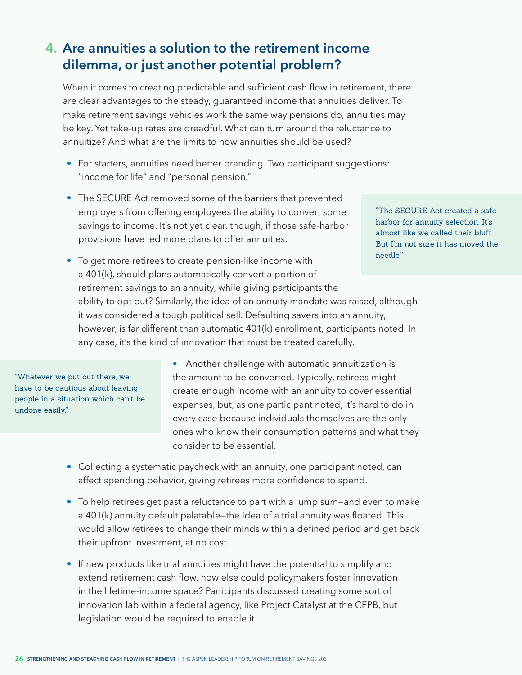## **Are annuities a solution to the retirement income 4.dilemma, or just another potential problem?**

When it comes to creating predictable and sufficient cash flow in retirement, there are clear advantages to the steady, guaranteed income that annuities deliver. To make retirement savings vehicles work the same way pensions do, annuities may be key. Yet take-up rates are dreadful. What can turn around the reluctance to annuitize? And what are the limits to how annuities should be used?

- For starters, annuities need better branding. Two participant suggestions: "income for life" and "personal pension."
- The SECURE Act removed some of the barriers that prevented employers from offering employees the ability to convert some savings to income. It's not yet clear, though, if those safe-harbor provisions have led more plans to offer annuities.

"The SECURE Act created a safe harbor for annuity selection. It's almost like we called their bluff. But I'm not sure it has moved the needle."

• To get more retirees to create pension-like income with a 401(k), should plans automatically convert a portion of retirement savings to an annuity, while giving participants the ability to opt out? Similarly, the idea of an annuity mandate was raised, although it was considered a tough political sell. Defaulting savers into an annuity, however, is far different than automatic 401(k) enrollment, participants noted. In any case, it's the kind of innovation that must be treated carefully.

"Whatever we put out there, we have to be cautious about leaving people in a situation which can't be undone easily."

• Another challenge with automatic annuitization is the amount to be converted. Typically, retirees might create enough income with an annuity to cover essential expenses, but, as one participant noted, it's hard to do in every case because individuals themselves are the only ones who know their consumption patterns and what they consider to be essential.

- Collecting a systematic paycheck with an annuity, one participant noted, can affect spending behavior, giving retirees more confidence to spend.
- To help retirees get past a reluctance to part with a lump sum—and even to make a 401(k) annuity default palatable—the idea of a trial annuity was floated. This would allow retirees to change their minds within a defined period and get back their upfront investment, at no cost.
- If new products like trial annuities might have the potential to simplify and extend retirement cash flow, how else could policymakers foster innovation in the lifetime-income space? Participants discussed creating some sort of innovation lab within a federal agency, like Project Catalyst at the CFPB, but legislation would be required to enable it.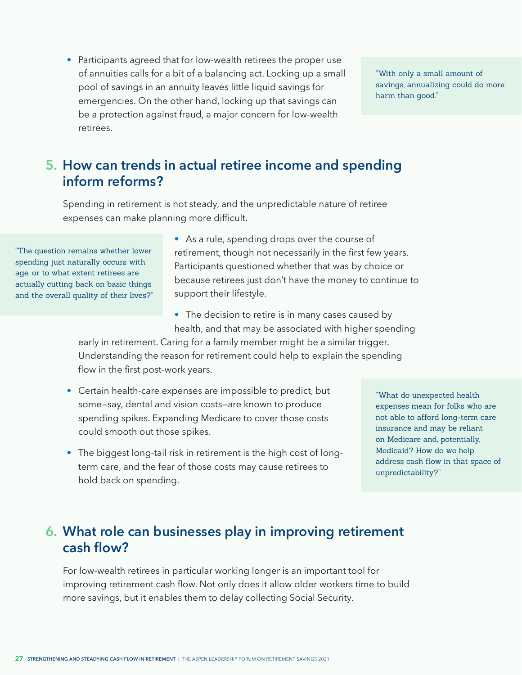• Participants agreed that for low-wealth retirees the proper use of annuities calls for a bit of a balancing act. Locking up a small pool of savings in an annuity leaves little liquid savings for emergencies. On the other hand, locking up that savings can be a protection against fraud, a major concern for low-wealth retirees.

"With only a small amount of savings, annualizing could do more harm than good."

## **How can trends in actual retiree income and spending 5. inform reforms?**

Spending in retirement is not steady, and the unpredictable nature of retiree expenses can make planning more difficult.

"The question remains whether lower spending just naturally occurs with age, or to what extent retirees are actually cutting back on basic things and the overall quality of their lives?" • As a rule, spending drops over the course of retirement, though not necessarily in the first few years. Participants questioned whether that was by choice or because retirees just don't have the money to continue to support their lifestyle.

• The decision to retire is in many cases caused by health, and that may be associated with higher spending

early in retirement. Caring for a family member might be a similar trigger. Understanding the reason for retirement could help to explain the spending flow in the first post-work years.

- Certain health-care expenses are impossible to predict, but some—say, dental and vision costs—are known to produce spending spikes. Expanding Medicare to cover those costs could smooth out those spikes.
- The biggest long-tail risk in retirement is the high cost of longterm care, and the fear of those costs may cause retirees to hold back on spending.

"What do unexpected health expenses mean for folks who are not able to afford long-term care insurance and may be reliant on Medicare and, potentially, Medicaid? How do we help address cash flow in that space of unpredictability?"

## **What role can businesses play in improving retirement 6.cash flow?**

For low-wealth retirees in particular working longer is an important tool for improving retirement cash flow. Not only does it allow older workers time to build more savings, but it enables them to delay collecting Social Security.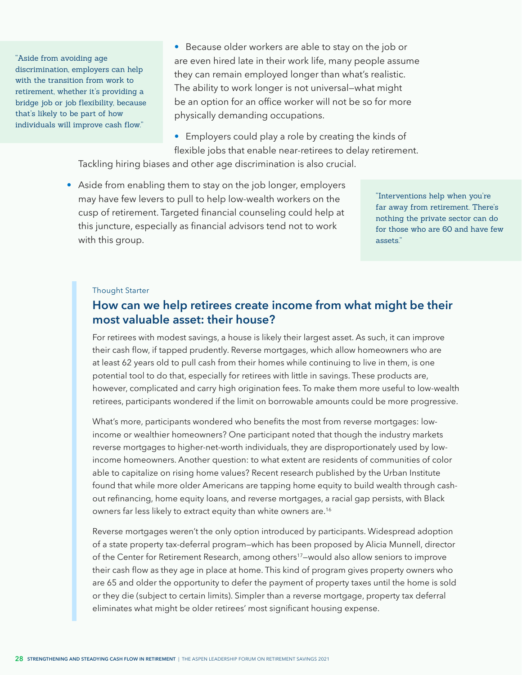<span id="page-29-0"></span>"Aside from avoiding age discrimination, employers can help with the transition from work to retirement, whether it's providing a bridge job or job flexibility, because that's likely to be part of how individuals will improve cash flow."

• Because older workers are able to stay on the job or are even hired late in their work life, many people assume they can remain employed longer than what's realistic. The ability to work longer is not universal—what might be an option for an office worker will not be so for more physically demanding occupations.

• Employers could play a role by creating the kinds of flexible jobs that enable near-retirees to delay retirement.

Tackling hiring biases and other age discrimination is also crucial.

• Aside from enabling them to stay on the job longer, employers may have few levers to pull to help low-wealth workers on the cusp of retirement. Targeted financial counseling could help at this juncture, especially as financial advisors tend not to work with this group.

"Interventions help when you're far away from retirement. There's nothing the private sector can do for those who are 60 and have few assets."

#### Thought Starter

### **How can we help retirees create income from what might be their most valuable asset: their house?**

For retirees with modest savings, a house is likely their largest asset. As such, it can improve their cash flow, if tapped prudently. Reverse mortgages, which allow homeowners who are at least 62 years old to pull cash from their homes while continuing to live in them, is one potential tool to do that, especially for retirees with little in savings. These products are, however, complicated and carry high origination fees. To make them more useful to low-wealth retirees, participants wondered if the limit on borrowable amounts could be more progressive.

What's more, participants wondered who benefits the most from reverse mortgages: lowincome or wealthier homeowners? One participant noted that though the industry markets reverse mortgages to higher-net-worth individuals, they are disproportionately used by lowincome homeowners. Another question: to what extent are residents of communities of color able to capitalize on rising home values? Recent research published by the Urban Institute found that while more older Americans are tapping home equity to build wealth through cashout refinancing, home equity loans, and reverse mortgages, a racial gap persists, with Black owners far less likely to extract equity than white owners are.<sup>16</sup>

Reverse mortgages weren't the only option introduced by participants. Widespread adoption of a state property tax-deferral program—which has been proposed by Alicia Munnell, director of the Center for Retirement Research, among others[17](#page-42-0)—would also allow seniors to improve their cash flow as they age in place at home. This kind of program gives property owners who are 65 and older the opportunity to defer the payment of property taxes until the home is sold or they die (subject to certain limits). Simpler than a reverse mortgage, property tax deferral eliminates what might be older retirees' most significant housing expense.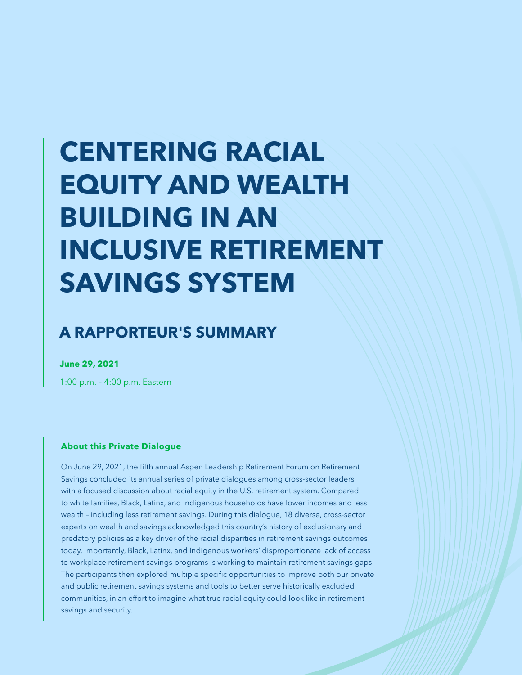# **CENTERING RACIAL EQUITY AND WEALTH BUILDING IN AN INCLUSIVE RETIREMENT SAVINGS SYSTEM**

## **A RAPPORTEUR'S SUMMARY**

**June 29, 2021**

1:00 p.m. – 4:00 p.m. Eastern

#### **About this Private Dialogue**

On June 29, 2021, the fifth annual Aspen Leadership Retirement Forum on Retirement Savings concluded its annual series of private dialogues among cross-sector leaders with a focused discussion about racial equity in the U.S. retirement system. Compared to white families, Black, Latinx, and Indigenous households have lower incomes and less wealth – including less retirement savings. During this dialogue, 18 diverse, cross-sector experts on wealth and savings acknowledged this country's history of exclusionary and predatory policies as a key driver of the racial disparities in retirement savings outcomes today. Importantly, Black, Latinx, and Indigenous workers' disproportionate lack of access to workplace retirement savings programs is working to maintain retirement savings gaps. The participants then explored multiple specific opportunities to improve both our private and public retirement savings systems and tools to better serve historically excluded communities, in an effort to imagine what true racial equity could look like in retirement savings and security.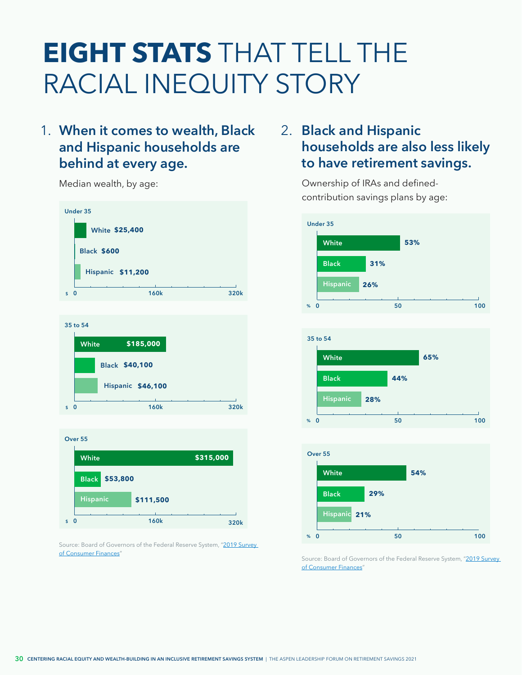## **EIGHT STATS** THAT TELL THE RACIAL INEQUITY STORY

## 1. When it comes to wealth, Black 2. **and Hispanic households are behind at every age.**



![](_page_31_Figure_3.jpeg)

![](_page_31_Figure_4.jpeg)

Source: Board of Governors of the Federal Reserve System, "2019 Survey [of Consumer Finances](https://www.federalreserve.gov/econres/notes/feds-notes/disparities-in-wealth-by-race-and-ethnicity-in-the-2019-survey-of-consumer-finances-20200928.htm)" Source: Board of Governors of the Federal Reserve System, "2019 Survey

## **Black and Hispanic households are also less likely to have retirement savings.**

Median wealth, by age:  $\blacksquare$  Ownership of IRAs and definedcontribution savings plans by age:

![](_page_31_Figure_8.jpeg)

![](_page_31_Figure_9.jpeg)

![](_page_31_Figure_10.jpeg)

[of Consumer Finances](https://www.federalreserve.gov/econres/notes/feds-notes/disparities-in-wealth-by-race-and-ethnicity-in-the-2019-survey-of-consumer-finances-20200928.htm)'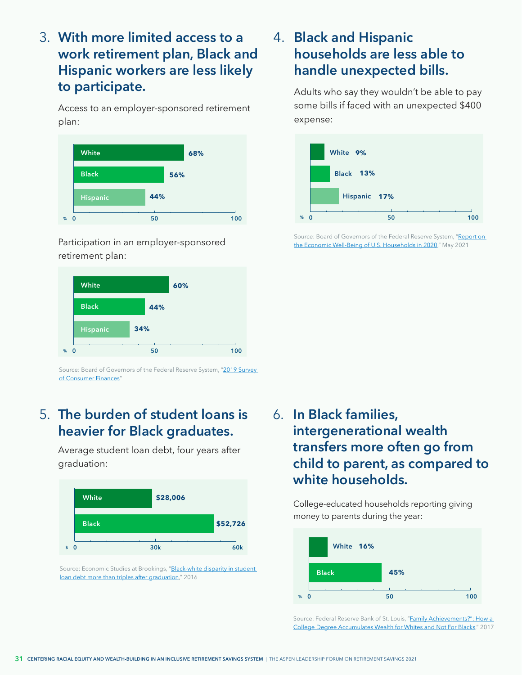**With more limited access to a**  3. **work retirement plan, Black and Hispanic workers are less likely to participate.**

Access to an employer-sponsored retirement plan:

![](_page_32_Figure_2.jpeg)

Participation in an employer-sponsored retirement plan:

![](_page_32_Figure_4.jpeg)

Source: Board of Governors of the Federal Reserve System, "2019 Survey [of Consumer Finances](https://www.federalreserve.gov/econres/notes/feds-notes/disparities-in-wealth-by-race-and-ethnicity-in-the-2019-survey-of-consumer-finances-20200928.htm)"

## **The burden of student loans is**  5. **heavier for Black graduates.**

Average student loan debt, four years after graduation:

![](_page_32_Figure_8.jpeg)

Source: Economic Studies at Brookings, "Black-white disparity in student [loan debt more than triples after graduation,](https://www.brookings.edu/wp-content/uploads/2016/10/es_20161020_scott-clayton_evidence_speaks.pdf)" 2016

## **Black and Hispanic**  4. **households are less able to handle unexpected bills.**

Adults who say they wouldn't be able to pay some bills if faced with an unexpected \$400 expense:

![](_page_32_Figure_12.jpeg)

Source: Board of Governors of the Federal Reserve System, "Report on [the Economic Well-Being of U.S. Households in 2020](https://www.federalreserve.gov/publications/2021-economic-well-being-of-us-households-in-2020-executive-summary.htm)," May 2021

**In Black families,**  6. **intergenerational wealth transfers more often go from child to parent, as compared to white households.**

College-educated households reporting giving money to parents during the year:

![](_page_32_Figure_16.jpeg)

Source: Federal Reserve Bank of St. Louis, "Family Achievements?": How a [College Degree Accumulates Wealth for Whites and Not For Blacks,](https://research.stlouisfed.org/publications/review/2017/02/15/family-achievements-how-a-college-degree-accumulates-wealth-for-whites-and-not-for-blacks/)" 2017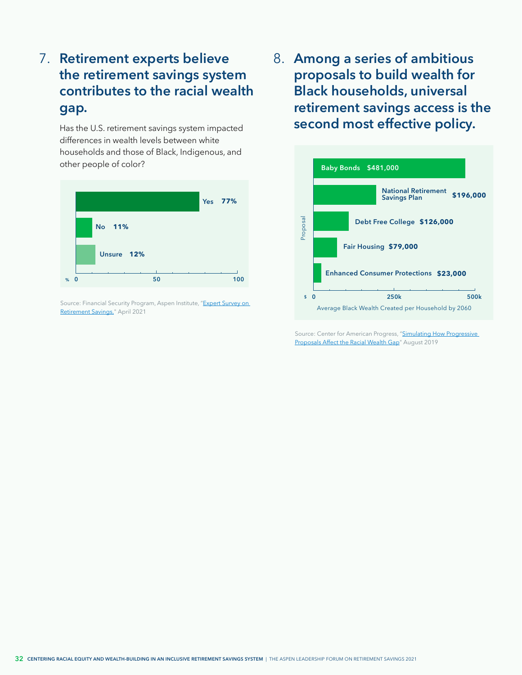## 7. Retirement experts believe **8**. **the retirement savings system contributes to the racial wealth gap.**

Has the U.S. retirement savings system impacted differences in wealth levels between white households and those of Black, Indigenous, and other people of color?

![](_page_33_Figure_2.jpeg)

Source: Financial Security Program, Aspen Institute, "Expert Survey on [Retirement Savings,"](https://www.aspeninstitute.org/publications/expert-survey-on-retirement-savings/) April 2021

**Among a series of ambitious proposals to build wealth for Black households, universal retirement savings access is the second most effective policy.**

![](_page_33_Figure_5.jpeg)

Source: Center for American Progress, "Simulating How Progressive [Proposals Affect the Racial Wealth Gap"](https://americanprogress.org/article/simulating-progressive-proposals-affect-racial-wealth-gap/) August 2019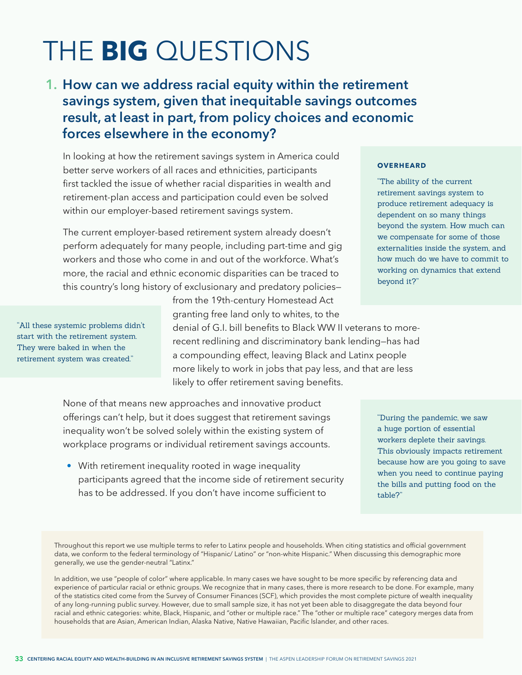## THE **BIG** QUESTIONS

## **How can we address racial equity within the retirement 1. savings system, given that inequitable savings outcomes result, at least in part, from policy choices and economic forces elsewhere in the economy?**

In looking at how the retirement savings system in America could better serve workers of all races and ethnicities, participants first tackled the issue of whether racial disparities in wealth and retirement-plan access and participation could even be solved within our employer-based retirement savings system.

The current employer-based retirement system already doesn't perform adequately for many people, including part-time and gig workers and those who come in and out of the workforce. What's more, the racial and ethnic economic disparities can be traced to this country's long history of exclusionary and predatory policies—

"All these systemic problems didn't start with the retirement system. They were baked in when the retirement system was created."

from the 19th-century Homestead Act granting free land only to whites, to the denial of G.I. bill benefits to Black WW II veterans to morerecent redlining and discriminatory bank lending—has had a compounding effect, leaving Black and Latinx people more likely to work in jobs that pay less, and that are less likely to offer retirement saving benefits.

None of that means new approaches and innovative product offerings can't help, but it does suggest that retirement savings inequality won't be solved solely within the existing system of workplace programs or individual retirement savings accounts.

• With retirement inequality rooted in wage inequality participants agreed that the income side of retirement security has to be addressed. If you don't have income sufficient to

#### **OVERHEARD**

"The ability of the current retirement savings system to produce retirement adequacy is dependent on so many things beyond the system. How much can we compensate for some of those externalities inside the system, and how much do we have to commit to working on dynamics that extend beyond it?"

"During the pandemic, we saw a huge portion of essential workers deplete their savings. This obviously impacts retirement because how are you going to save when you need to continue paying the bills and putting food on the table?"

Throughout this report we use multiple terms to refer to Latinx people and households. When citing statistics and official government data, we conform to the federal terminology of "Hispanic/ Latino" or "non-white Hispanic." When discussing this demographic more generally, we use the gender-neutral "Latinx."

In addition, we use "people of color" where applicable. In many cases we have sought to be more specific by referencing data and experience of particular racial or ethnic groups. We recognize that in many cases, there is more research to be done. For example, many of the statistics cited come from the Survey of Consumer Finances (SCF), which provides the most complete picture of wealth inequality of any long-running public survey. However, due to small sample size, it has not yet been able to disaggregate the data beyond four racial and ethnic categories: white, Black, Hispanic, and "other or multiple race." The "other or multiple race" category merges data from households that are Asian, American Indian, Alaska Native, Native Hawaiian, Pacific Islander, and other races.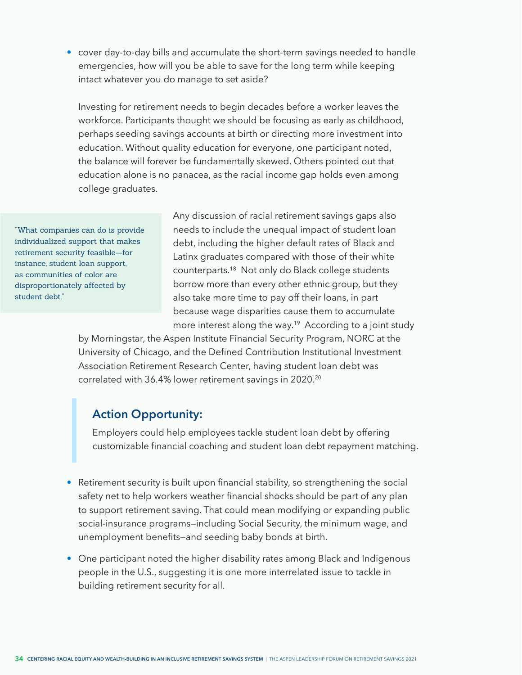<span id="page-35-0"></span>• cover day-to-day bills and accumulate the short-term savings needed to handle emergencies, how will you be able to save for the long term while keeping intact whatever you do manage to set aside?

Investing for retirement needs to begin decades before a worker leaves the workforce. Participants thought we should be focusing as early as childhood, perhaps seeding savings accounts at birth or directing more investment into education. Without quality education for everyone, one participant noted, the balance will forever be fundamentally skewed. Others pointed out that education alone is no panacea, as the racial income gap holds even among college graduates.

"What companies can do is provide individualized support that makes retirement security feasible—for instance, student loan support, as communities of color are disproportionately affected by student debt."

Any discussion of racial retirement savings gaps also needs to include the unequal impact of student loan debt, including the higher default rates of Black and Latinx graduates compared with those of their white counterparts.[18](#page-42-0) Not only do Black college students borrow more than every other ethnic group, but they also take more time to pay off their loans, in part because wage disparities cause them to accumulate more interest along the way.<sup>[19](#page-42-0)</sup> According to a joint study

by Morningstar, the Aspen Institute Financial Security Program, NORC at the University of Chicago, and the Defined Contribution Institutional Investment Association Retirement Research Center, having student loan debt was correlated with 36.4% lower retirement savings in 2020[.20](#page-42-0)

### **Action Opportunity:**

Employers could help employees tackle student loan debt by offering customizable financial coaching and student loan debt repayment matching.

- Retirement security is built upon financial stability, so strengthening the social safety net to help workers weather financial shocks should be part of any plan to support retirement saving. That could mean modifying or expanding public social-insurance programs—including Social Security, the minimum wage, and unemployment benefits—and seeding baby bonds at birth.
- One participant noted the higher disability rates among Black and Indigenous people in the U.S., suggesting it is one more interrelated issue to tackle in building retirement security for all.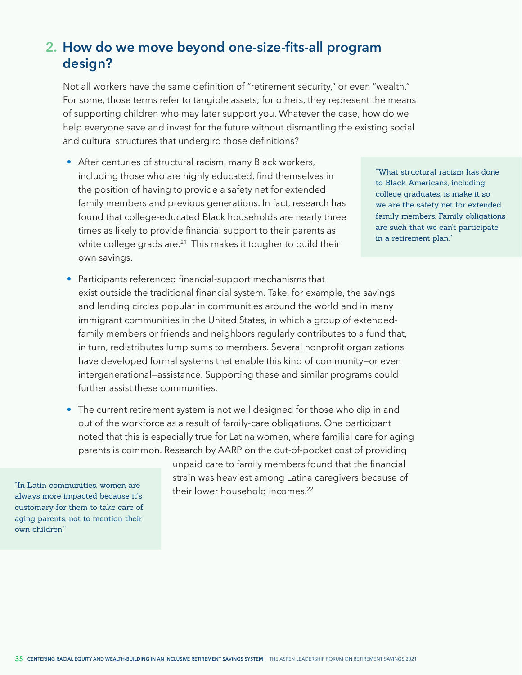## <span id="page-36-0"></span>**How do we move beyond one-size-fits-all program 2. design?**

Not all workers have the same definition of "retirement security," or even "wealth." For some, those terms refer to tangible assets; for others, they represent the means of supporting children who may later support you. Whatever the case, how do we help everyone save and invest for the future without dismantling the existing social and cultural structures that undergird those definitions?

• After centuries of structural racism, many Black workers, including those who are highly educated, find themselves in the position of having to provide a safety net for extended family members and previous generations. In fact, research has found that college-educated Black households are nearly three times as likely to provide financial support to their parents as white college grads are. $21$  This makes it tougher to build their own savings.

"What structural racism has done to Black Americans, including college graduates, is make it so we are the safety net for extended family members. Family obligations are such that we can't participate in a retirement plan."

- Participants referenced financial-support mechanisms that exist outside the traditional financial system. Take, for example, the savings and lending circles popular in communities around the world and in many immigrant communities in the United States, in which a group of extendedfamily members or friends and neighbors regularly contributes to a fund that, in turn, redistributes lump sums to members. Several nonprofit organizations have developed formal systems that enable this kind of community—or even intergenerational—assistance. Supporting these and similar programs could further assist these communities.
- The current retirement system is not well designed for those who dip in and out of the workforce as a result of family-care obligations. One participant noted that this is especially true for Latina women, where familial care for aging parents is common. Research by AARP on the out-of-pocket cost of providing

unpaid care to family members found that the financial strain was heaviest among Latina caregivers because of their lower household incomes.<sup>22</sup>

"In Latin communities, women are always more impacted because it's customary for them to take care of aging parents, not to mention their own children."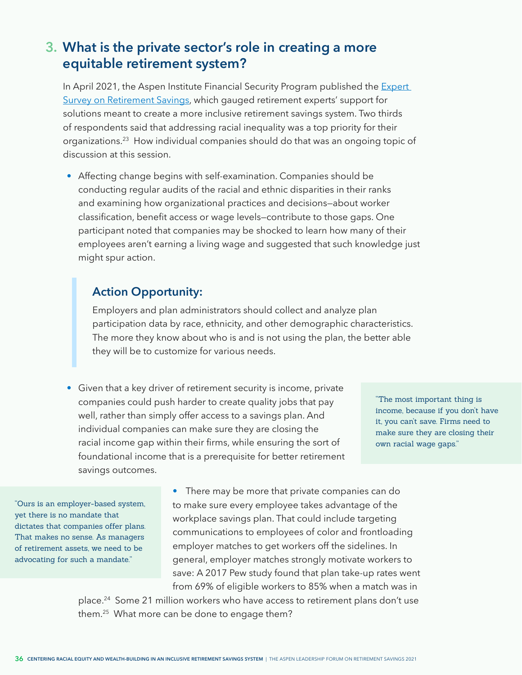## <span id="page-37-0"></span>**What is the private sector's role in creating a more 3. equitable retirement system?**

In April 2021, the Aspen Institute Financial Security Program published the Expert [Survey on Retirement Savings](https://www.aspeninstitute.org/publications/expert-survey-on-retirement-savings/), which gauged retirement experts' support for solutions meant to create a more inclusive retirement savings system. Two thirds of respondents said that addressing racial inequality was a top priority for their organizations.[23](#page-42-0) How individual companies should do that was an ongoing topic of discussion at this session.

• Affecting change begins with self-examination. Companies should be conducting regular audits of the racial and ethnic disparities in their ranks and examining how organizational practices and decisions—about worker classification, benefit access or wage levels—contribute to those gaps. One participant noted that companies may be shocked to learn how many of their employees aren't earning a living wage and suggested that such knowledge just might spur action.

### **Action Opportunity:**

Employers and plan administrators should collect and analyze plan participation data by race, ethnicity, and other demographic characteristics. The more they know about who is and is not using the plan, the better able they will be to customize for various needs.

• Given that a key driver of retirement security is income, private companies could push harder to create quality jobs that pay well, rather than simply offer access to a savings plan. And individual companies can make sure they are closing the racial income gap within their firms, while ensuring the sort of foundational income that is a prerequisite for better retirement savings outcomes.

"The most important thing is income, because if you don't have it, you can't save. Firms need to make sure they are closing their own racial wage gaps."

"Ours is an employer-based system, yet there is no mandate that dictates that companies offer plans. That makes no sense. As managers of retirement assets, we need to be advocating for such a mandate."

• There may be more that private companies can do to make sure every employee takes advantage of the workplace savings plan. That could include targeting communications to employees of color and frontloading employer matches to get workers off the sidelines. In general, employer matches strongly motivate workers to save: A 2017 Pew study found that plan take-up rates went from 69% of eligible workers to 85% when a match was in

place[.24](#page-42-0) Some 21 million workers who have access to retirement plans don't use them.[25](#page-42-0) What more can be done to engage them?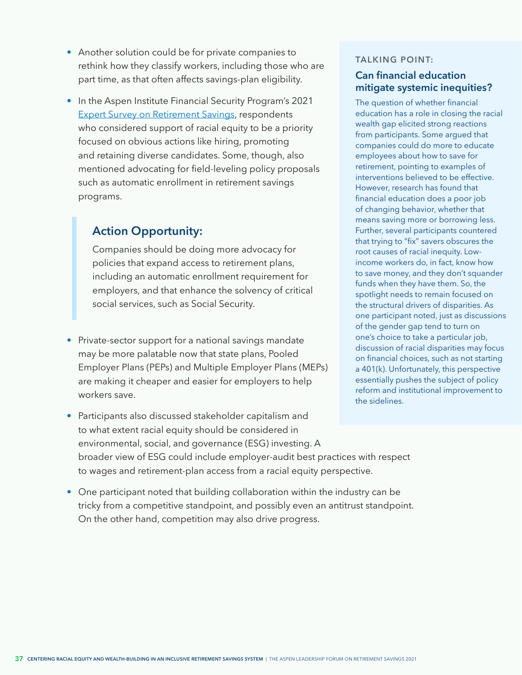- Another solution could be for private companies to rethink how they classify workers, including those who are part time, as that often affects savings-plan eligibility.
- In the Aspen Institute Financial Security Program's 2021 [Expert Survey on Retirement Savings](https://www.aspeninstitute.org/publications/expert-survey-on-retirement-savings/), respondents who considered support of racial equity to be a priority focused on obvious actions like hiring, promoting and retaining diverse candidates. Some, though, also mentioned advocating for field-leveling policy proposals such as automatic enrollment in retirement savings programs.

## **Action Opportunity:**

Companies should be doing more advocacy for policies that expand access to retirement plans, including an automatic enrollment requirement for employers, and that enhance the solvency of critical social services, such as Social Security.

- Private-sector support for a national savings mandate may be more palatable now that state plans, Pooled Employer Plans (PEPs) and Multiple Employer Plans (MEPs) are making it cheaper and easier for employers to help workers save.
- Participants also discussed stakeholder capitalism and to what extent racial equity should be considered in environmental, social, and governance (ESG) investing. A broader view of ESG could include employer-audit best practices with respect to wages and retirement-plan access from a racial equity perspective.
- One participant noted that building collaboration within the industry can be tricky from a competitive standpoint, and possibly even an antitrust standpoint. On the other hand, competition may also drive progress.

#### **TALKING POINT:**

### **Can financial education mitigate systemic inequities?**

The question of whether financial education has a role in closing the racial wealth gap elicited strong reactions from participants. Some argued that companies could do more to educate employees about how to save for retirement, pointing to examples of interventions believed to be effective. However, research has found that financial education does a poor job of changing behavior, whether that means saving more or borrowing less. Further, several participants countered that trying to "fix" savers obscures the root causes of racial inequity. Lowincome workers do, in fact, know how to save money, and they don't squander funds when they have them. So, the spotlight needs to remain focused on the structural drivers of disparities. As one participant noted, just as discussions of the gender gap tend to turn on one's choice to take a particular job, discussion of racial disparities may focus on financial choices, such as not starting a 401(k). Unfortunately, this perspective essentially pushes the subject of policy reform and institutional improvement to the sidelines.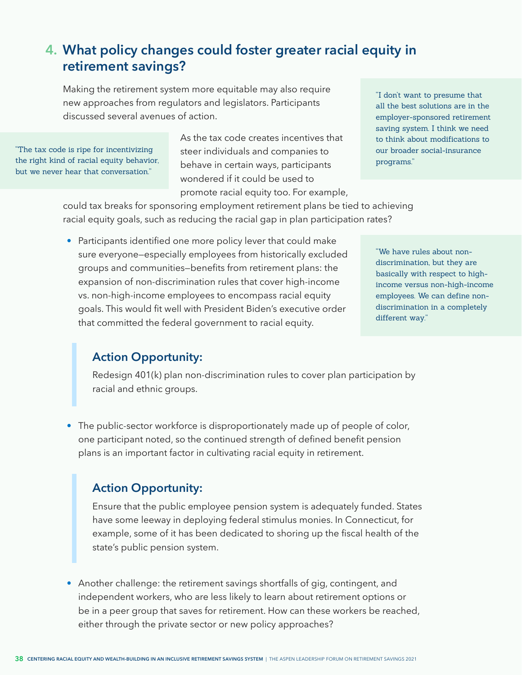## **What policy changes could foster greater racial equity in 4. retirement savings?**

Making the retirement system more equitable may also require new approaches from regulators and legislators. Participants discussed several avenues of action.

"The tax code is ripe for incentivizing the right kind of racial equity behavior, but we never hear that conversation."

As the tax code creates incentives that steer individuals and companies to behave in certain ways, participants wondered if it could be used to promote racial equity too. For example, "I don't want to presume that all the best solutions are in the employer-sponsored retirement saving system. I think we need to think about modifications to our broader social-insurance programs."

could tax breaks for sponsoring employment retirement plans be tied to achieving racial equity goals, such as reducing the racial gap in plan participation rates?

• Participants identified one more policy lever that could make sure everyone—especially employees from historically excluded groups and communities—benefits from retirement plans: the expansion of non-discrimination rules that cover high-income vs. non-high-income employees to encompass racial equity goals. This would fit well with President Biden's executive order that committed the federal government to racial equity.

"We have rules about nondiscrimination, but they are basically with respect to highincome versus non-high-income employees. We can define nondiscrimination in a completely different way."

### **Action Opportunity:**

Redesign 401(k) plan non-discrimination rules to cover plan participation by racial and ethnic groups.

• The public-sector workforce is disproportionately made up of people of color, one participant noted, so the continued strength of defined benefit pension plans is an important factor in cultivating racial equity in retirement.

### **Action Opportunity:**

Ensure that the public employee pension system is adequately funded. States have some leeway in deploying federal stimulus monies. In Connecticut, for example, some of it has been dedicated to shoring up the fiscal health of the state's public pension system.

• Another challenge: the retirement savings shortfalls of gig, contingent, and independent workers, who are less likely to learn about retirement options or be in a peer group that saves for retirement. How can these workers be reached, either through the private sector or new policy approaches?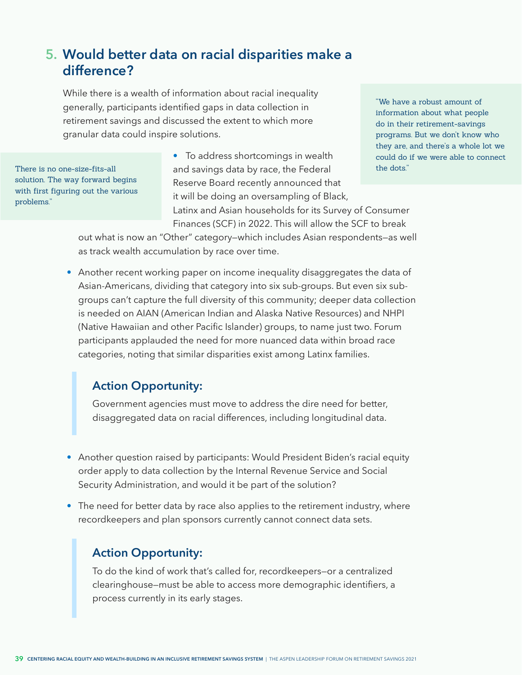## **Would better data on racial disparities make a 5. difference?**

While there is a wealth of information about racial inequality generally, participants identified gaps in data collection in retirement savings and discussed the extent to which more granular data could inspire solutions.

solution. The way forward begins with first figuring out the various problems."

• To address shortcomings in wealth There is no one-size-fits-all **the dots."** and savings data by race, the Federal the dots." Reserve Board recently announced that it will be doing an oversampling of Black, Latinx and Asian households for its Survey of Consumer Finances (SCF) in 2022. This will allow the SCF to break

"We have a robust amount of information about what people do in their retirement-savings programs. But we don't know who they are, and there's a whole lot we could do if we were able to connect

out what is now an "Other" category—which includes Asian respondents—as well as track wealth accumulation by race over time.

• Another recent working paper on income inequality disaggregates the data of Asian-Americans, dividing that category into six sub-groups. But even six subgroups can't capture the full diversity of this community; deeper data collection is needed on AIAN (American Indian and Alaska Native Resources) and NHPI (Native Hawaiian and other Pacific Islander) groups, to name just two. Forum participants applauded the need for more nuanced data within broad race categories, noting that similar disparities exist among Latinx families.

### **Action Opportunity:**

Government agencies must move to address the dire need for better, disaggregated data on racial differences, including longitudinal data.

- Another question raised by participants: Would President Biden's racial equity order apply to data collection by the Internal Revenue Service and Social Security Administration, and would it be part of the solution?
- The need for better data by race also applies to the retirement industry, where recordkeepers and plan sponsors currently cannot connect data sets.

### **Action Opportunity:**

To do the kind of work that's called for, recordkeepers—or a centralized clearinghouse—must be able to access more demographic identifiers, a process currently in its early stages.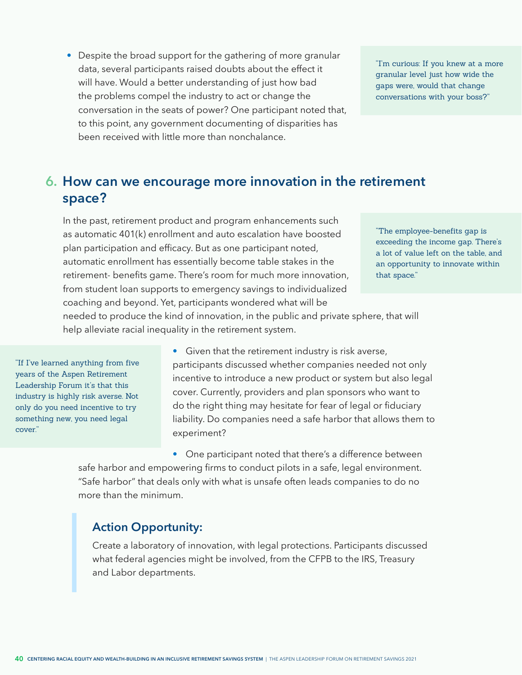• Despite the broad support for the gathering of more granular data, several participants raised doubts about the effect it will have. Would a better understanding of just how bad the problems compel the industry to act or change the conversation in the seats of power? One participant noted that, to this point, any government documenting of disparities has been received with little more than nonchalance.

"I'm curious: If you knew at a more granular level just how wide the gaps were, would that change conversations with your boss?"

### **How can we encourage more innovation in the retirement 6. space?**

In the past, retirement product and program enhancements such as automatic 401(k) enrollment and auto escalation have boosted plan participation and efficacy. But as one participant noted, automatic enrollment has essentially become table stakes in the retirement- benefits game. There's room for much more innovation, from student loan supports to emergency savings to individualized coaching and beyond. Yet, participants wondered what will be

"The employee-benefits gap is exceeding the income gap. There's a lot of value left on the table, and an opportunity to innovate within that space."

needed to produce the kind of innovation, in the public and private sphere, that will help alleviate racial inequality in the retirement system.

"If I've learned anything from five years of the Aspen Retirement Leadership Forum it's that this industry is highly risk averse. Not only do you need incentive to try something new, you need legal cover."

• Given that the retirement industry is risk averse, participants discussed whether companies needed not only incentive to introduce a new product or system but also legal cover. Currently, providers and plan sponsors who want to do the right thing may hesitate for fear of legal or fiduciary liability. Do companies need a safe harbor that allows them to experiment?

• One participant noted that there's a difference between safe harbor and empowering firms to conduct pilots in a safe, legal environment. "Safe harbor" that deals only with what is unsafe often leads companies to do no more than the minimum.

### **Action Opportunity:**

Create a laboratory of innovation, with legal protections. Participants discussed what federal agencies might be involved, from the CFPB to the IRS, Treasury and Labor departments.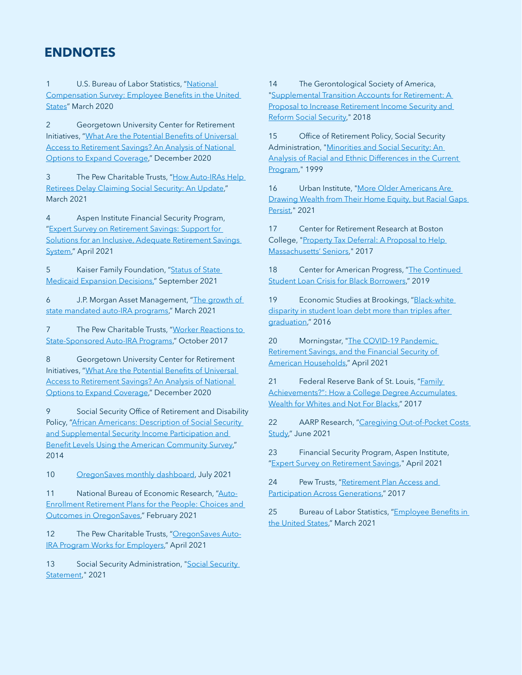### <span id="page-42-0"></span>**ENDNOTES**

[1](#page-4-0) U.S. Bureau of Labor Statistics, "National Compensation Survey: Employee Benefits in the United States" March 2020

[2](#page-6-0) Georgetown University Center for Retirement Initiatives, "What Are the Potential Benefits of Universal Access to Retirement Savings? An Analysis of National Options to Expand Coverage," December 2020

[3](#page-6-0) The Pew Charitable Trusts, "How Auto-IRAs Help Retirees Delay Claiming Social Security: An Update," March 2021

[4](#page-7-0) Aspen Institute Financial Security Program, "Expert Survey on Retirement Savings: Support for Solutions for an Inclusive, Adequate Retirement Savings System," April 2021

[5](#page-8-0) Kaiser Family Foundation, "Status of State Medicaid Expansion Decisions," September 2021

[6](#page-9-0) J.P. Morgan Asset Management, "The growth of state mandated auto-IRA programs," March 2021

[7](#page-11-0) The Pew Charitable Trusts, "Worker Reactions to State-Sponsored Auto-IRA Programs," October 2017

[8](#page-13-0) Georgetown University Center for Retirement Initiatives, "What Are the Potential Benefits of Universal Access to Retirement Savings? An Analysis of National Options to Expand Coverage," December 2020

[9](#page-13-0) Social Security Office of Retirement and Disability Policy, "African Americans: Description of Social Security and Supplemental Security Income Participation and Benefit Levels Using the American Community Survey," 2014

[10](#page-14-0) OregonSaves monthly dashboard, July 2021

[11](#page-14-0) National Bureau of Economic Research, "Auto-Enrollment Retirement Plans for the People: Choices and Outcomes in OregonSaves," February 2021

[12](#page-14-0) The Pew Charitable Trusts, "OregonSaves Auto-IRA Program Works for Employers," April 2021

[13](#page-24-0) Social Security Administration, "Social Security Statement," 2021

[14](#page-26-0) The Gerontological Society of America, "Supplemental Transition Accounts for Retirement: A Proposal to Increase Retirement Income Security and Reform Social Security," 2018

[15](#page-26-0) Office of Retirement Policy, Social Security Administration, "Minorities and Social Security: An Analysis of Racial and Ethnic Differences in the Current Program," 1999

[16](#page-29-0) Urban Institute, "More Older Americans Are Drawing Wealth from Their Home Equity, but Racial Gaps Persist," 2021

[17](#page-29-0) Center for Retirement Research at Boston College, "Property Tax Deferral: A Proposal to Help Massachusetts' Seniors," 2017

[18](#page-35-0) Center for American Progress, "The Continued Student Loan Crisis for Black Borrowers," 2019

[19](#page-35-0) Economic Studies at Brookings, "Black-white disparity in student loan debt more than triples after graduation," 2016

[20](#page-35-0) Morningstar, "The COVID-19 Pandemic, Retirement Savings, and the Financial Security of American Households," April 2021

[21](#page-36-0) Federal Reserve Bank of St. Louis, "Family Achievements?": How a College Degree Accumulates Wealth for Whites and Not For Blacks," 2017

[22](#page-36-0) AARP Research, "Caregiving Out-of-Pocket Costs Study," June 2021

[23](#page-37-0) Financial Security Program, Aspen Institute, "Expert Survey on Retirement Savings," April 2021

[24](#page-37-0) Pew Trusts, "Retirement Plan Access and Participation Across Generations," 2017

[25](#page-37-0) Bureau of Labor Statistics, "Employee Benefits in the United States," March 2021